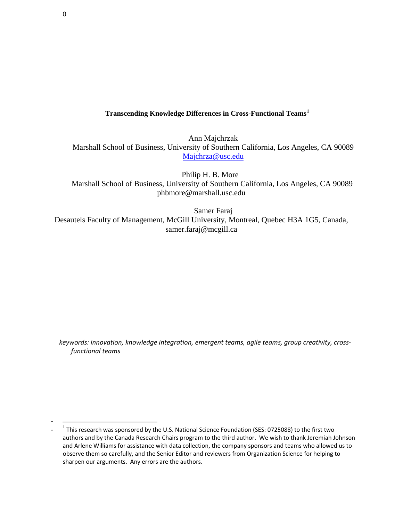# **Transcending Knowledge Differences in Cross-Functional Teams[1](#page-0-0)**

Ann Majchrzak Marshall School of Business, University of Southern California, Los Angeles, CA 90089 [Majchrza@usc.edu](mailto:Majchrza@usc.edu)

 Philip H. B. More Marshall School of Business, University of Southern California, Los Angeles, CA 90089 phbmore@marshall.usc.edu

Samer Faraj Desautels Faculty of Management, McGill University, Montreal, Quebec H3A 1G5, Canada, samer.faraj@mcgill.ca

*keywords: innovation, knowledge integration, emergent teams, agile teams, group creativity, cross‐ functional teams*

- <del>- - - - - - - - - - - - - - -</del>

<span id="page-0-0"></span> $1$  This research was sponsored by the U.S. National Science Foundation (SES: 0725088) to the first two authors and by the Canada Research Chairs program to the third author. We wish to thank Jeremiah Johnson and Arlene Williams for assistance with data collection, the company sponsors and teams who allowed us to observe them so carefully, and the Senior Editor and reviewers from Organization Science for helping to sharpen our arguments. Any errors are the authors.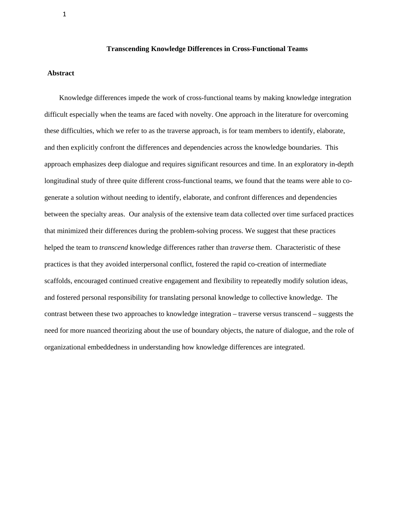#### **Transcending Knowledge Differences in Cross-Functional Teams**

## **Abstract**

Knowledge differences impede the work of cross-functional teams by making knowledge integration difficult especially when the teams are faced with novelty. One approach in the literature for overcoming these difficulties, which we refer to as the traverse approach, is for team members to identify, elaborate, and then explicitly confront the differences and dependencies across the knowledge boundaries. This approach emphasizes deep dialogue and requires significant resources and time. In an exploratory in-depth longitudinal study of three quite different cross-functional teams, we found that the teams were able to cogenerate a solution without needing to identify, elaborate, and confront differences and dependencies between the specialty areas. Our analysis of the extensive team data collected over time surfaced practices that minimized their differences during the problem-solving process. We suggest that these practices helped the team to *transcend* knowledge differences rather than *traverse* them. Characteristic of these practices is that they avoided interpersonal conflict, fostered the rapid co-creation of intermediate scaffolds, encouraged continued creative engagement and flexibility to repeatedly modify solution ideas, and fostered personal responsibility for translating personal knowledge to collective knowledge. The contrast between these two approaches to knowledge integration – traverse versus transcend – suggests the need for more nuanced theorizing about the use of boundary objects, the nature of dialogue, and the role of organizational embeddedness in understanding how knowledge differences are integrated.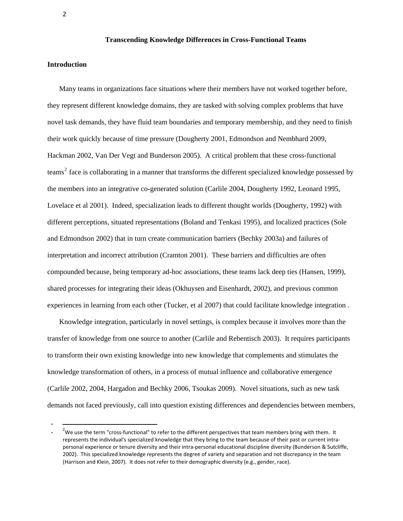#### **Transcending Knowledge Differences in Cross-Functional Teams**

## **Introduction**

Many teams in organizations face situations where their members have not worked together before, they represent different knowledge domains, they are tasked with solving complex problems that have novel task demands, they have fluid team boundaries and temporary membership, and they need to finish their work quickly because of time pressure (Dougherty 2001, Edmondson and Nembhard 2009, Hackman 2002, Van Der Vegt and Bunderson 2005). A critical problem that these cross-functional teams<sup>[2](#page-2-0)</sup> face is collaborating in a manner that transforms the different specialized knowledge possessed by the members into an integrative co-generated solution (Carlile 2004, Dougherty 1992, Leonard 1995, Lovelace et al 2001). Indeed, specialization leads to different thought worlds (Dougherty, 1992) with different perceptions, situated representations (Boland and Tenkasi 1995), and localized practices (Sole and Edmondson 2002) that in turn create communication barriers (Bechky 2003a) and failures of interpretation and incorrect attribution (Cramton 2001). These barriers and difficulties are often compounded because, being temporary ad-hoc associations, these teams lack deep ties (Hansen, 1999), shared processes for integrating their ideas (Okhuysen and Eisenhardt, 2002), and previous common experiences in learning from each other (Tucker, et al 2007) that could facilitate knowledge integration .

Knowledge integration, particularly in novel settings, is complex because it involves more than the transfer of knowledge from one source to another (Carlile and Rebentisch 2003). It requires participants to transform their own existing knowledge into new knowledge that complements and stimulates the knowledge transformation of others, in a process of mutual influence and collaborative emergence (Carlile 2002, 2004, Hargadon and Bechky 2006, Tsoukas 2009). Novel situations, such as new task demands not faced previously, call into question existing differences and dependencies between members,

- <del>- - - - - - - - - - - - - - -</del>

<span id="page-2-0"></span><sup>- &</sup>lt;sup>2</sup>We use the term "cross-functional" to refer to the different perspectives that team members bring with them. It represents the individual's specialized knowledge that they bring to the team because of their past or current intrapersonal experience or tenure diversity and their intra-personal educational discipline diversity (Bunderson & Sutcliffe, 2002). This specialized knowledge represents the degree of variety and separation and not discrepancy in the team (Harrison and Klein, 2007). It does not refer to their demographic diversity (e.g., gender, race).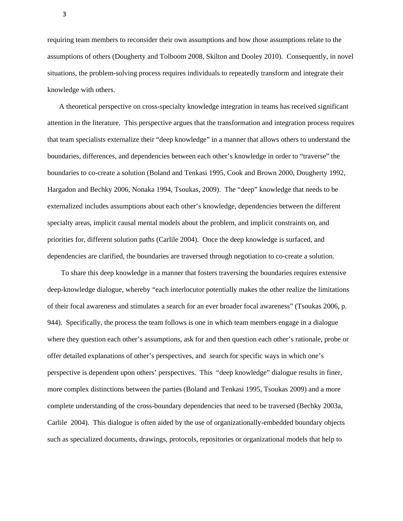requiring team members to reconsider their own assumptions and how those assumptions relate to the assumptions of others (Dougherty and Tolboom 2008, Skilton and Dooley 2010). Consequently, in novel situations, the problem-solving process requires individuals to repeatedly transform and integrate their knowledge with others.

A theoretical perspective on cross-specialty knowledge integration in teams has received significant attention in the literature. This perspective argues that the transformation and integration process requires that team specialists externalize their "deep knowledge" in a manner that allows others to understand the boundaries, differences, and dependencies between each other's knowledge in order to "traverse" the boundaries to co-create a solution (Boland and Tenkasi 1995, Cook and Brown 2000, Dougherty 1992, Hargadon and Bechky 2006, Nonaka 1994, Tsoukas, 2009). The "deep" knowledge that needs to be externalized includes assumptions about each other's knowledge, dependencies between the different specialty areas, implicit causal mental models about the problem, and implicit constraints on, and priorities for, different solution paths (Carlile 2004). Once the deep knowledge is surfaced, and dependencies are clarified, the boundaries are traversed through negotiation to co-create a solution.

 To share this deep knowledge in a manner that fosters traversing the boundaries requires extensive deep-knowledge dialogue, whereby "each interlocutor potentially makes the other realize the limitations of their focal awareness and stimulates a search for an ever broader focal awareness" (Tsoukas 2006, p. 944). Specifically, the process the team follows is one in which team members engage in a dialogue where they question each other's assumptions, ask for and then question each other's rationale, probe or offer detailed explanations of other's perspectives, and search for specific ways in which one's perspective is dependent upon others' perspectives. This "deep knowledge" dialogue results in finer, more complex distinctions between the parties (Boland and Tenkasi 1995, Tsoukas 2009) and a more complete understanding of the cross-boundary dependencies that need to be traversed (Bechky 2003a, Carlile 2004). This dialogue is often aided by the use of organizationally-embedded boundary objects such as specialized documents, drawings, protocols, repositories or organizational models that help to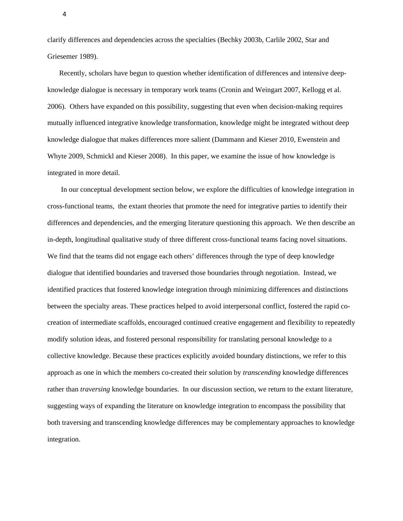clarify differences and dependencies across the specialties (Bechky 2003b, Carlile 2002, Star and Griesemer 1989).

Recently, scholars have begun to question whether identification of differences and intensive deepknowledge dialogue is necessary in temporary work teams (Cronin and Weingart 2007, Kellogg et al. 2006). Others have expanded on this possibility, suggesting that even when decision-making requires mutually influenced integrative knowledge transformation, knowledge might be integrated without deep knowledge dialogue that makes differences more salient (Dammann and Kieser 2010, Ewenstein and Whyte 2009, Schmickl and Kieser 2008). In this paper, we examine the issue of how knowledge is integrated in more detail.

 In our conceptual development section below, we explore the difficulties of knowledge integration in cross-functional teams, the extant theories that promote the need for integrative parties to identify their differences and dependencies, and the emerging literature questioning this approach. We then describe an in-depth, longitudinal qualitative study of three different cross-functional teams facing novel situations. We find that the teams did not engage each others' differences through the type of deep knowledge dialogue that identified boundaries and traversed those boundaries through negotiation. Instead, we identified practices that fostered knowledge integration through minimizing differences and distinctions between the specialty areas. These practices helped to avoid interpersonal conflict, fostered the rapid cocreation of intermediate scaffolds, encouraged continued creative engagement and flexibility to repeatedly modify solution ideas, and fostered personal responsibility for translating personal knowledge to a collective knowledge. Because these practices explicitly avoided boundary distinctions, we refer to this approach as one in which the members co-created their solution by *transcending* knowledge differences rather than *traversing* knowledge boundaries. In our discussion section, we return to the extant literature, suggesting ways of expanding the literature on knowledge integration to encompass the possibility that both traversing and transcending knowledge differences may be complementary approaches to knowledge integration.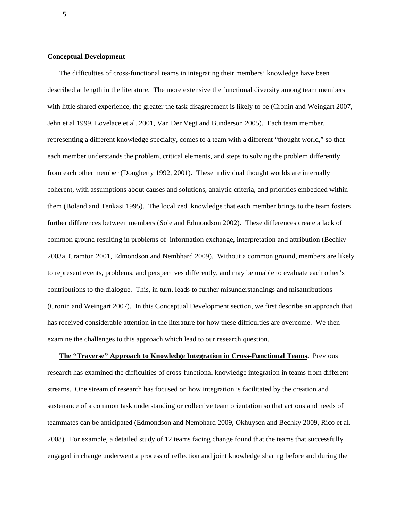# **Conceptual Development**

The difficulties of cross-functional teams in integrating their members' knowledge have been described at length in the literature. The more extensive the functional diversity among team members with little shared experience, the greater the task disagreement is likely to be (Cronin and Weingart 2007, Jehn et al 1999, Lovelace et al. 2001, Van Der Vegt and Bunderson 2005). Each team member, representing a different knowledge specialty, comes to a team with a different "thought world," so that each member understands the problem, critical elements, and steps to solving the problem differently from each other member (Dougherty 1992, 2001). These individual thought worlds are internally coherent, with assumptions about causes and solutions, analytic criteria, and priorities embedded within them (Boland and Tenkasi 1995). The localized knowledge that each member brings to the team fosters further differences between members (Sole and Edmondson 2002). These differences create a lack of common ground resulting in problems of information exchange, interpretation and attribution (Bechky 2003a, Cramton 2001, Edmondson and Nembhard 2009). Without a common ground, members are likely to represent events, problems, and perspectives differently, and may be unable to evaluate each other's contributions to the dialogue. This, in turn, leads to further misunderstandings and misattributions (Cronin and Weingart 2007). In this Conceptual Development section, we first describe an approach that has received considerable attention in the literature for how these difficulties are overcome. We then examine the challenges to this approach which lead to our research question.

**The "Traverse" Approach to Knowledge Integration in Cross-Functional Teams**. Previous research has examined the difficulties of cross-functional knowledge integration in teams from different streams. One stream of research has focused on how integration is facilitated by the creation and sustenance of a common task understanding or collective team orientation so that actions and needs of teammates can be anticipated (Edmondson and Nembhard 2009, Okhuysen and Bechky 2009, Rico et al. 2008). For example, a detailed study of 12 teams facing change found that the teams that successfully engaged in change underwent a process of reflection and joint knowledge sharing before and during the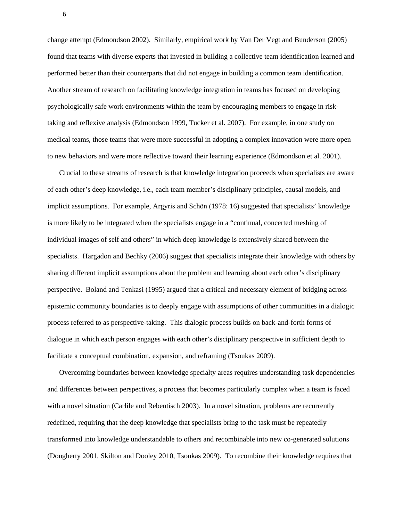change attempt (Edmondson 2002). Similarly, empirical work by Van Der Vegt and Bunderson (2005) found that teams with diverse experts that invested in building a collective team identification learned and performed better than their counterparts that did not engage in building a common team identification. Another stream of research on facilitating knowledge integration in teams has focused on developing psychologically safe work environments within the team by encouraging members to engage in risktaking and reflexive analysis (Edmondson 1999, Tucker et al. 2007). For example, in one study on medical teams, those teams that were more successful in adopting a complex innovation were more open to new behaviors and were more reflective toward their learning experience (Edmondson et al. 2001).

Crucial to these streams of research is that knowledge integration proceeds when specialists are aware of each other's deep knowledge, i.e., each team member's disciplinary principles, causal models, and implicit assumptions. For example, Argyris and Schön (1978: 16) suggested that specialists' knowledge is more likely to be integrated when the specialists engage in a "continual, concerted meshing of individual images of self and others" in which deep knowledge is extensively shared between the specialists. Hargadon and Bechky (2006) suggest that specialists integrate their knowledge with others by sharing different implicit assumptions about the problem and learning about each other's disciplinary perspective. Boland and Tenkasi (1995) argued that a critical and necessary element of bridging across epistemic community boundaries is to deeply engage with assumptions of other communities in a dialogic process referred to as perspective-taking. This dialogic process builds on back-and-forth forms of dialogue in which each person engages with each other's disciplinary perspective in sufficient depth to facilitate a conceptual combination, expansion, and reframing (Tsoukas 2009).

Overcoming boundaries between knowledge specialty areas requires understanding task dependencies and differences between perspectives, a process that becomes particularly complex when a team is faced with a novel situation (Carlile and Rebentisch 2003). In a novel situation, problems are recurrently redefined, requiring that the deep knowledge that specialists bring to the task must be repeatedly transformed into knowledge understandable to others and recombinable into new co-generated solutions (Dougherty 2001, Skilton and Dooley 2010, Tsoukas 2009). To recombine their knowledge requires that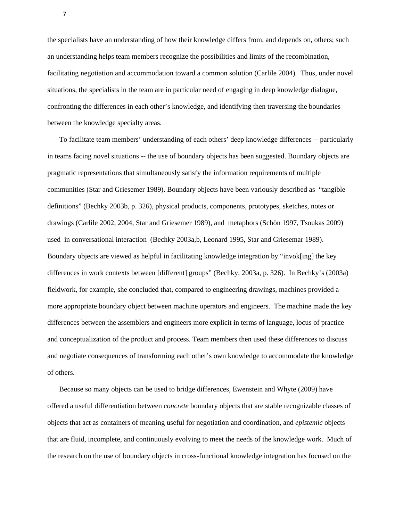the specialists have an understanding of how their knowledge differs from, and depends on, others; such an understanding helps team members recognize the possibilities and limits of the recombination, facilitating negotiation and accommodation toward a common solution (Carlile 2004). Thus, under novel situations, the specialists in the team are in particular need of engaging in deep knowledge dialogue, confronting the differences in each other's knowledge, and identifying then traversing the boundaries between the knowledge specialty areas.

To facilitate team members' understanding of each others' deep knowledge differences -- particularly in teams facing novel situations -- the use of boundary objects has been suggested. Boundary objects are pragmatic representations that simultaneously satisfy the information requirements of multiple communities (Star and Griesemer 1989). Boundary objects have been variously described as "tangible definitions" (Bechky 2003b, p. 326), physical products, components, prototypes, sketches, notes or drawings (Carlile 2002, 2004, Star and Griesemer 1989), and metaphors (Schön 1997, Tsoukas 2009) used in conversational interaction (Bechky 2003a,b, Leonard 1995, Star and Griesemar 1989). Boundary objects are viewed as helpful in facilitating knowledge integration by "invok[ing] the key differences in work contexts between [different] groups" (Bechky, 2003a, p. 326). In Bechky's (2003a) fieldwork, for example, she concluded that, compared to engineering drawings, machines provided a more appropriate boundary object between machine operators and engineers. The machine made the key differences between the assemblers and engineers more explicit in terms of language, locus of practice and conceptualization of the product and process. Team members then used these differences to discuss and negotiate consequences of transforming each other's own knowledge to accommodate the knowledge of others.

Because so many objects can be used to bridge differences, Ewenstein and Whyte (2009) have offered a useful differentiation between *concrete* boundary objects that are stable recognizable classes of objects that act as containers of meaning useful for negotiation and coordination, and *epistemic* objects that are fluid, incomplete, and continuously evolving to meet the needs of the knowledge work. Much of the research on the use of boundary objects in cross-functional knowledge integration has focused on the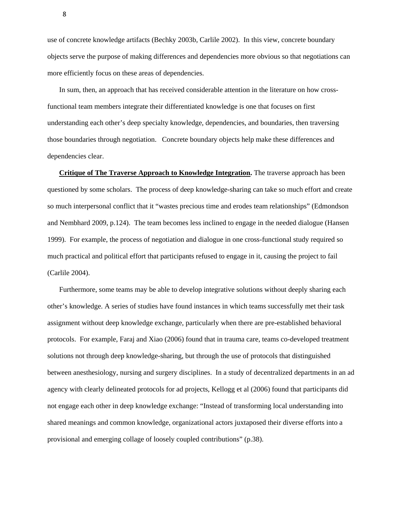use of concrete knowledge artifacts (Bechky 2003b, Carlile 2002). In this view, concrete boundary objects serve the purpose of making differences and dependencies more obvious so that negotiations can more efficiently focus on these areas of dependencies.

In sum, then, an approach that has received considerable attention in the literature on how crossfunctional team members integrate their differentiated knowledge is one that focuses on first understanding each other's deep specialty knowledge, dependencies, and boundaries, then traversing those boundaries through negotiation. Concrete boundary objects help make these differences and dependencies clear.

**Critique of The Traverse Approach to Knowledge Integration.** The traverse approach has been questioned by some scholars. The process of deep knowledge-sharing can take so much effort and create so much interpersonal conflict that it "wastes precious time and erodes team relationships" (Edmondson and Nembhard 2009, p.124). The team becomes less inclined to engage in the needed dialogue (Hansen 1999). For example, the process of negotiation and dialogue in one cross-functional study required so much practical and political effort that participants refused to engage in it, causing the project to fail (Carlile 2004).

Furthermore, some teams may be able to develop integrative solutions without deeply sharing each other's knowledge. A series of studies have found instances in which teams successfully met their task assignment without deep knowledge exchange, particularly when there are pre-established behavioral protocols. For example, Faraj and Xiao (2006) found that in trauma care, teams co-developed treatment solutions not through deep knowledge-sharing, but through the use of protocols that distinguished between anesthesiology, nursing and surgery disciplines. In a study of decentralized departments in an ad agency with clearly delineated protocols for ad projects, Kellogg et al (2006) found that participants did not engage each other in deep knowledge exchange: "Instead of transforming local understanding into shared meanings and common knowledge, organizational actors juxtaposed their diverse efforts into a provisional and emerging collage of loosely coupled contributions" (p.38).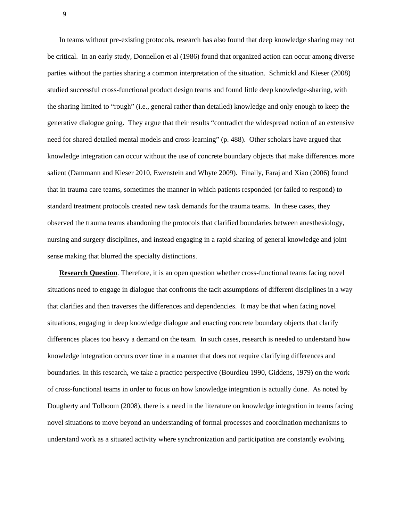In teams without pre-existing protocols, research has also found that deep knowledge sharing may not be critical. In an early study, Donnellon et al (1986) found that organized action can occur among diverse parties without the parties sharing a common interpretation of the situation. Schmickl and Kieser (2008) studied successful cross-functional product design teams and found little deep knowledge-sharing, with the sharing limited to "rough" (i.e., general rather than detailed) knowledge and only enough to keep the generative dialogue going. They argue that their results "contradict the widespread notion of an extensive need for shared detailed mental models and cross-learning" (p. 488). Other scholars have argued that knowledge integration can occur without the use of concrete boundary objects that make differences more salient (Dammann and Kieser 2010, Ewenstein and Whyte 2009). Finally, Faraj and Xiao (2006) found that in trauma care teams, sometimes the manner in which patients responded (or failed to respond) to standard treatment protocols created new task demands for the trauma teams. In these cases, they observed the trauma teams abandoning the protocols that clarified boundaries between anesthesiology, nursing and surgery disciplines, and instead engaging in a rapid sharing of general knowledge and joint sense making that blurred the specialty distinctions.

**Research Question**. Therefore, it is an open question whether cross-functional teams facing novel situations need to engage in dialogue that confronts the tacit assumptions of different disciplines in a way that clarifies and then traverses the differences and dependencies. It may be that when facing novel situations, engaging in deep knowledge dialogue and enacting concrete boundary objects that clarify differences places too heavy a demand on the team. In such cases, research is needed to understand how knowledge integration occurs over time in a manner that does not require clarifying differences and boundaries. In this research, we take a practice perspective (Bourdieu 1990, Giddens, 1979) on the work of cross-functional teams in order to focus on how knowledge integration is actually done. As noted by Dougherty and Tolboom (2008), there is a need in the literature on knowledge integration in teams facing novel situations to move beyond an understanding of formal processes and coordination mechanisms to understand work as a situated activity where synchronization and participation are constantly evolving.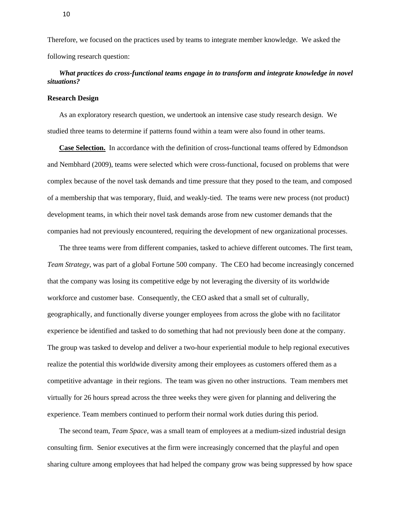Therefore, we focused on the practices used by teams to integrate member knowledge. We asked the following research question:

# *What practices do cross-functional teams engage in to transform and integrate knowledge in novel situations?*

# **Research Design**

As an exploratory research question, we undertook an intensive case study research design. We studied three teams to determine if patterns found within a team were also found in other teams.

**Case Selection.** In accordance with the definition of cross-functional teams offered by Edmondson and Nembhard (2009), teams were selected which were cross-functional, focused on problems that were complex because of the novel task demands and time pressure that they posed to the team, and composed of a membership that was temporary, fluid, and weakly-tied. The teams were new process (not product) development teams, in which their novel task demands arose from new customer demands that the companies had not previously encountered, requiring the development of new organizational processes.

The three teams were from different companies, tasked to achieve different outcomes. The first team, *Team Strategy*, was part of a global Fortune 500 company. The CEO had become increasingly concerned that the company was losing its competitive edge by not leveraging the diversity of its worldwide workforce and customer base. Consequently, the CEO asked that a small set of culturally, geographically, and functionally diverse younger employees from across the globe with no facilitator experience be identified and tasked to do something that had not previously been done at the company. The group was tasked to develop and deliver a two-hour experiential module to help regional executives realize the potential this worldwide diversity among their employees as customers offered them as a competitive advantage in their regions. The team was given no other instructions. Team members met virtually for 26 hours spread across the three weeks they were given for planning and delivering the experience. Team members continued to perform their normal work duties during this period.

The second team, *Team Space,* was a small team of employees at a medium-sized industrial design consulting firm. Senior executives at the firm were increasingly concerned that the playful and open sharing culture among employees that had helped the company grow was being suppressed by how space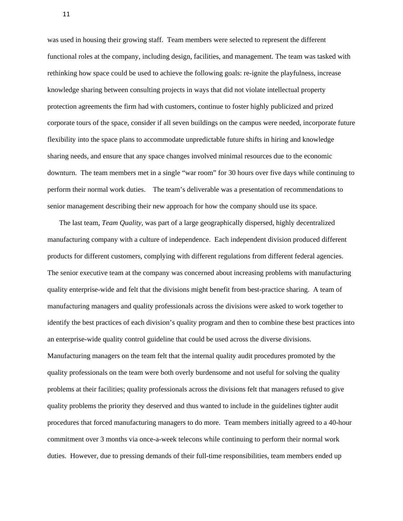was used in housing their growing staff. Team members were selected to represent the different functional roles at the company, including design, facilities, and management. The team was tasked with rethinking how space could be used to achieve the following goals: re-ignite the playfulness, increase knowledge sharing between consulting projects in ways that did not violate intellectual property protection agreements the firm had with customers, continue to foster highly publicized and prized corporate tours of the space, consider if all seven buildings on the campus were needed, incorporate future flexibility into the space plans to accommodate unpredictable future shifts in hiring and knowledge sharing needs, and ensure that any space changes involved minimal resources due to the economic downturn. The team members met in a single "war room" for 30 hours over five days while continuing to perform their normal work duties. The team's deliverable was a presentation of recommendations to senior management describing their new approach for how the company should use its space.

The last team, *Team Quality,* was part of a large geographically dispersed, highly decentralized manufacturing company with a culture of independence. Each independent division produced different products for different customers, complying with different regulations from different federal agencies. The senior executive team at the company was concerned about increasing problems with manufacturing quality enterprise-wide and felt that the divisions might benefit from best-practice sharing. A team of manufacturing managers and quality professionals across the divisions were asked to work together to identify the best practices of each division's quality program and then to combine these best practices into an enterprise-wide quality control guideline that could be used across the diverse divisions. Manufacturing managers on the team felt that the internal quality audit procedures promoted by the quality professionals on the team were both overly burdensome and not useful for solving the quality problems at their facilities; quality professionals across the divisions felt that managers refused to give quality problems the priority they deserved and thus wanted to include in the guidelines tighter audit procedures that forced manufacturing managers to do more. Team members initially agreed to a 40-hour commitment over 3 months via once-a-week telecons while continuing to perform their normal work duties. However, due to pressing demands of their full-time responsibilities, team members ended up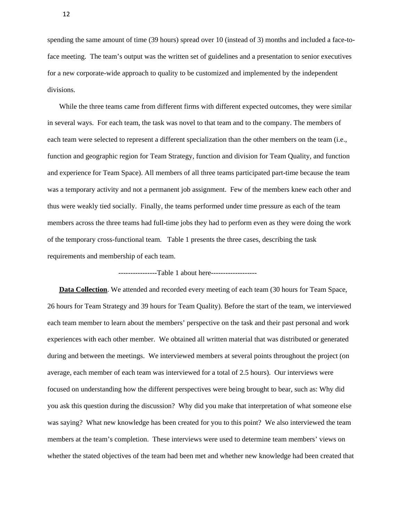spending the same amount of time (39 hours) spread over 10 (instead of 3) months and included a face-toface meeting. The team's output was the written set of guidelines and a presentation to senior executives for a new corporate-wide approach to quality to be customized and implemented by the independent divisions.

While the three teams came from different firms with different expected outcomes, they were similar in several ways. For each team, the task was novel to that team and to the company. The members of each team were selected to represent a different specialization than the other members on the team (i.e., function and geographic region for Team Strategy, function and division for Team Quality, and function and experience for Team Space). All members of all three teams participated part-time because the team was a temporary activity and not a permanent job assignment. Few of the members knew each other and thus were weakly tied socially. Finally, the teams performed under time pressure as each of the team members across the three teams had full-time jobs they had to perform even as they were doing the work of the temporary cross-functional team. Table 1 presents the three cases, describing the task requirements and membership of each team.

----------------Table 1 about here-------------------

**Data Collection**. We attended and recorded every meeting of each team (30 hours for Team Space, 26 hours for Team Strategy and 39 hours for Team Quality). Before the start of the team, we interviewed each team member to learn about the members' perspective on the task and their past personal and work experiences with each other member. We obtained all written material that was distributed or generated during and between the meetings. We interviewed members at several points throughout the project (on average, each member of each team was interviewed for a total of 2.5 hours). Our interviews were focused on understanding how the different perspectives were being brought to bear, such as: Why did you ask this question during the discussion? Why did you make that interpretation of what someone else was saying? What new knowledge has been created for you to this point? We also interviewed the team members at the team's completion. These interviews were used to determine team members' views on whether the stated objectives of the team had been met and whether new knowledge had been created that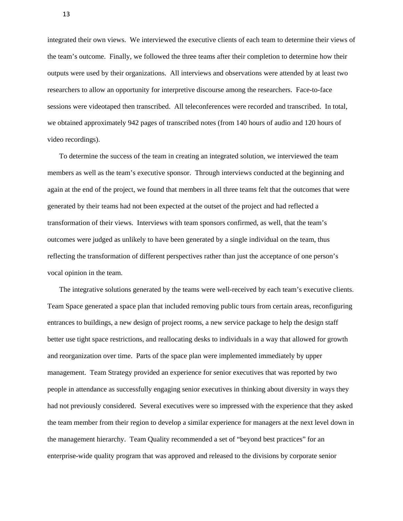integrated their own views. We interviewed the executive clients of each team to determine their views of the team's outcome. Finally, we followed the three teams after their completion to determine how their outputs were used by their organizations. All interviews and observations were attended by at least two researchers to allow an opportunity for interpretive discourse among the researchers. Face-to-face sessions were videotaped then transcribed. All teleconferences were recorded and transcribed. In total, we obtained approximately 942 pages of transcribed notes (from 140 hours of audio and 120 hours of video recordings).

To determine the success of the team in creating an integrated solution, we interviewed the team members as well as the team's executive sponsor. Through interviews conducted at the beginning and again at the end of the project, we found that members in all three teams felt that the outcomes that were generated by their teams had not been expected at the outset of the project and had reflected a transformation of their views. Interviews with team sponsors confirmed, as well, that the team's outcomes were judged as unlikely to have been generated by a single individual on the team, thus reflecting the transformation of different perspectives rather than just the acceptance of one person's vocal opinion in the team.

The integrative solutions generated by the teams were well-received by each team's executive clients. Team Space generated a space plan that included removing public tours from certain areas, reconfiguring entrances to buildings, a new design of project rooms, a new service package to help the design staff better use tight space restrictions, and reallocating desks to individuals in a way that allowed for growth and reorganization over time. Parts of the space plan were implemented immediately by upper management. Team Strategy provided an experience for senior executives that was reported by two people in attendance as successfully engaging senior executives in thinking about diversity in ways they had not previously considered. Several executives were so impressed with the experience that they asked the team member from their region to develop a similar experience for managers at the next level down in the management hierarchy. Team Quality recommended a set of "beyond best practices" for an enterprise-wide quality program that was approved and released to the divisions by corporate senior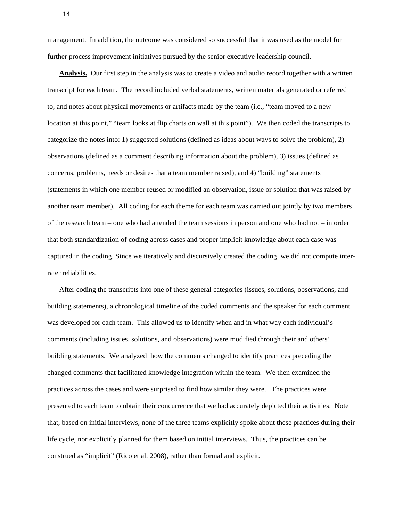management. In addition, the outcome was considered so successful that it was used as the model for further process improvement initiatives pursued by the senior executive leadership council.

**Analysis.** Our first step in the analysis was to create a video and audio record together with a written transcript for each team. The record included verbal statements, written materials generated or referred to, and notes about physical movements or artifacts made by the team (i.e., "team moved to a new location at this point," "team looks at flip charts on wall at this point"). We then coded the transcripts to categorize the notes into: 1) suggested solutions (defined as ideas about ways to solve the problem), 2) observations (defined as a comment describing information about the problem), 3) issues (defined as concerns, problems, needs or desires that a team member raised), and 4) "building" statements (statements in which one member reused or modified an observation, issue or solution that was raised by another team member). All coding for each theme for each team was carried out jointly by two members of the research team – one who had attended the team sessions in person and one who had not – in order that both standardization of coding across cases and proper implicit knowledge about each case was captured in the coding. Since we iteratively and discursively created the coding, we did not compute interrater reliabilities.

After coding the transcripts into one of these general categories (issues, solutions, observations, and building statements), a chronological timeline of the coded comments and the speaker for each comment was developed for each team. This allowed us to identify when and in what way each individual's comments (including issues, solutions, and observations) were modified through their and others' building statements. We analyzed how the comments changed to identify practices preceding the changed comments that facilitated knowledge integration within the team. We then examined the practices across the cases and were surprised to find how similar they were. The practices were presented to each team to obtain their concurrence that we had accurately depicted their activities. Note that, based on initial interviews, none of the three teams explicitly spoke about these practices during their life cycle, nor explicitly planned for them based on initial interviews. Thus, the practices can be construed as "implicit" (Rico et al. 2008), rather than formal and explicit.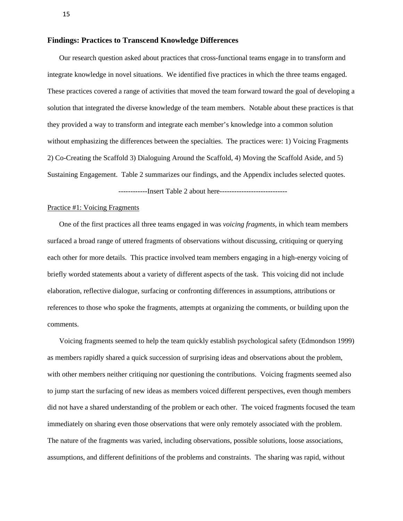# **Findings: Practices to Transcend Knowledge Differences**

Our research question asked about practices that cross-functional teams engage in to transform and integrate knowledge in novel situations. We identified five practices in which the three teams engaged. These practices covered a range of activities that moved the team forward toward the goal of developing a solution that integrated the diverse knowledge of the team members. Notable about these practices is that they provided a way to transform and integrate each member's knowledge into a common solution without emphasizing the differences between the specialties. The practices were: 1) Voicing Fragments 2) Co-Creating the Scaffold 3) Dialoguing Around the Scaffold, 4) Moving the Scaffold Aside, and 5) Sustaining Engagement. Table 2 summarizes our findings, and the Appendix includes selected quotes.

------------Insert Table 2 about here------------------------------

# Practice #1: Voicing Fragments

One of the first practices all three teams engaged in was *voicing fragments*, in which team members surfaced a broad range of uttered fragments of observations without discussing, critiquing or querying each other for more details. This practice involved team members engaging in a high-energy voicing of briefly worded statements about a variety of different aspects of the task. This voicing did not include elaboration, reflective dialogue, surfacing or confronting differences in assumptions, attributions or references to those who spoke the fragments, attempts at organizing the comments, or building upon the comments.

Voicing fragments seemed to help the team quickly establish psychological safety (Edmondson 1999) as members rapidly shared a quick succession of surprising ideas and observations about the problem, with other members neither critiquing nor questioning the contributions. Voicing fragments seemed also to jump start the surfacing of new ideas as members voiced different perspectives, even though members did not have a shared understanding of the problem or each other. The voiced fragments focused the team immediately on sharing even those observations that were only remotely associated with the problem. The nature of the fragments was varied, including observations, possible solutions, loose associations, assumptions, and different definitions of the problems and constraints. The sharing was rapid, without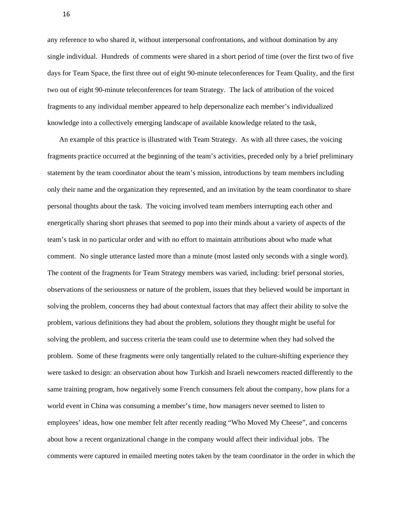any reference to who shared it, without interpersonal confrontations, and without domination by any single individual. Hundreds of comments were shared in a short period of time (over the first two of five days for Team Space, the first three out of eight 90-minute teleconferences for Team Quality, and the first two out of eight 90-minute teleconferences for team Strategy. The lack of attribution of the voiced fragments to any individual member appeared to help depersonalize each member's individualized knowledge into a collectively emerging landscape of available knowledge related to the task,

An example of this practice is illustrated with Team Strategy. As with all three cases, the voicing fragments practice occurred at the beginning of the team's activities, preceded only by a brief preliminary statement by the team coordinator about the team's mission, introductions by team members including only their name and the organization they represented, and an invitation by the team coordinator to share personal thoughts about the task. The voicing involved team members interrupting each other and energetically sharing short phrases that seemed to pop into their minds about a variety of aspects of the team's task in no particular order and with no effort to maintain attributions about who made what comment. No single utterance lasted more than a minute (most lasted only seconds with a single word). The content of the fragments for Team Strategy members was varied, including: brief personal stories, observations of the seriousness or nature of the problem, issues that they believed would be important in solving the problem, concerns they had about contextual factors that may affect their ability to solve the problem, various definitions they had about the problem, solutions they thought might be useful for solving the problem, and success criteria the team could use to determine when they had solved the problem. Some of these fragments were only tangentially related to the culture-shifting experience they were tasked to design: an observation about how Turkish and Israeli newcomers reacted differently to the same training program, how negatively some French consumers felt about the company, how plans for a world event in China was consuming a member's time, how managers never seemed to listen to employees' ideas, how one member felt after recently reading "Who Moved My Cheese", and concerns about how a recent organizational change in the company would affect their individual jobs. The comments were captured in emailed meeting notes taken by the team coordinator in the order in which the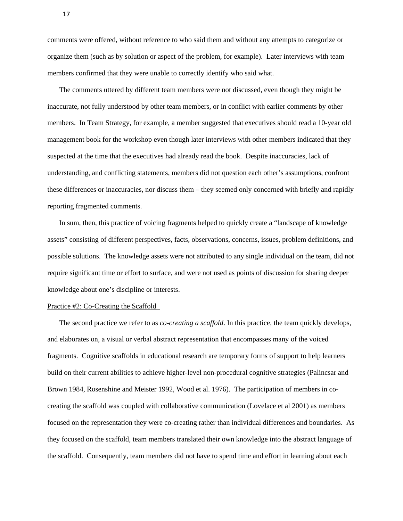comments were offered, without reference to who said them and without any attempts to categorize or organize them (such as by solution or aspect of the problem, for example). Later interviews with team members confirmed that they were unable to correctly identify who said what.

The comments uttered by different team members were not discussed, even though they might be inaccurate, not fully understood by other team members, or in conflict with earlier comments by other members. In Team Strategy, for example, a member suggested that executives should read a 10-year old management book for the workshop even though later interviews with other members indicated that they suspected at the time that the executives had already read the book. Despite inaccuracies, lack of understanding, and conflicting statements, members did not question each other's assumptions, confront these differences or inaccuracies, nor discuss them – they seemed only concerned with briefly and rapidly reporting fragmented comments.

In sum, then, this practice of voicing fragments helped to quickly create a "landscape of knowledge assets" consisting of different perspectives, facts, observations, concerns, issues, problem definitions, and possible solutions. The knowledge assets were not attributed to any single individual on the team, did not require significant time or effort to surface, and were not used as points of discussion for sharing deeper knowledge about one's discipline or interests.

### Practice #2: Co-Creating the Scaffold

The second practice we refer to as *co-creating a scaffold*. In this practice, the team quickly develops, and elaborates on, a visual or verbal abstract representation that encompasses many of the voiced fragments. Cognitive scaffolds in educational research are temporary forms of support to help learners build on their current abilities to achieve higher-level non-procedural cognitive strategies (Palincsar and Brown 1984, Rosenshine and Meister 1992, Wood et al. 1976). The participation of members in cocreating the scaffold was coupled with collaborative communication (Lovelace et al 2001) as members focused on the representation they were co-creating rather than individual differences and boundaries. As they focused on the scaffold, team members translated their own knowledge into the abstract language of the scaffold. Consequently, team members did not have to spend time and effort in learning about each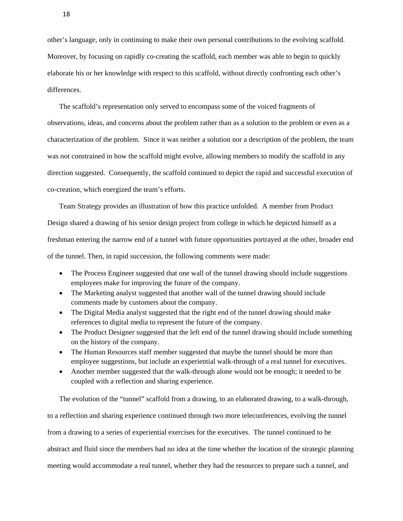other's language, only in continuing to make their own personal contributions to the evolving scaffold. Moreover, by focusing on rapidly co-creating the scaffold, each member was able to begin to quickly elaborate his or her knowledge with respect to this scaffold, without directly confronting each other's differences.

The scaffold's representation only served to encompass some of the voiced fragments of observations, ideas, and concerns about the problem rather than as a solution to the problem or even as a characterization of the problem. Since it was neither a solution nor a description of the problem, the team was not constrained in how the scaffold might evolve, allowing members to modify the scaffold in any direction suggested. Consequently, the scaffold continued to depict the rapid and successful execution of co-creation, which energized the team's efforts.

Team Strategy provides an illustration of how this practice unfolded. A member from Product Design shared a drawing of his senior design project from college in which he depicted himself as a freshman entering the narrow end of a tunnel with future opportunities portrayed at the other, broader end of the tunnel. Then, in rapid succession, the following comments were made:

- The Process Engineer suggested that one wall of the tunnel drawing should include suggestions employees make for improving the future of the company.
- The Marketing analyst suggested that another wall of the tunnel drawing should include comments made by customers about the company.
- The Digital Media analyst suggested that the right end of the tunnel drawing should make references to digital media to represent the future of the company.
- The Product Designer suggested that the left end of the tunnel drawing should include something on the history of the company.
- The Human Resources staff member suggested that maybe the tunnel should be more than employee suggestions, but include an experiential walk-through of a real tunnel for executives.
- Another member suggested that the walk-through alone would not be enough; it needed to be coupled with a reflection and sharing experience.

The evolution of the "tunnel" scaffold from a drawing, to an elaborated drawing, to a walk-through, to a reflection and sharing experience continued through two more teleconferences, evolving the tunnel from a drawing to a series of experiential exercises for the executives. The tunnel continued to be abstract and fluid since the members had no idea at the time whether the location of the strategic planning meeting would accommodate a real tunnel, whether they had the resources to prepare such a tunnel, and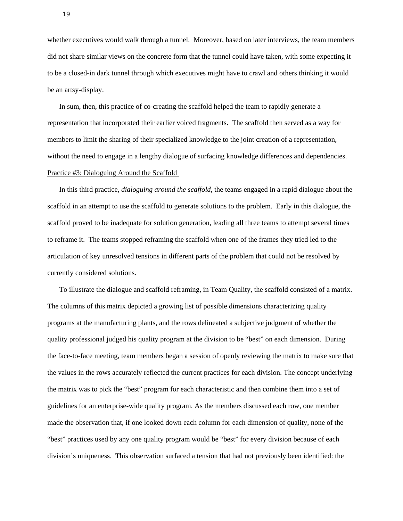whether executives would walk through a tunnel. Moreover, based on later interviews, the team members did not share similar views on the concrete form that the tunnel could have taken, with some expecting it to be a closed-in dark tunnel through which executives might have to crawl and others thinking it would be an artsy-display.

In sum, then, this practice of co-creating the scaffold helped the team to rapidly generate a representation that incorporated their earlier voiced fragments. The scaffold then served as a way for members to limit the sharing of their specialized knowledge to the joint creation of a representation, without the need to engage in a lengthy dialogue of surfacing knowledge differences and dependencies. Practice #3: Dialoguing Around the Scaffold

In this third practice, *dialoguing around the scaffold*, the teams engaged in a rapid dialogue about the scaffold in an attempt to use the scaffold to generate solutions to the problem. Early in this dialogue, the scaffold proved to be inadequate for solution generation, leading all three teams to attempt several times to reframe it. The teams stopped reframing the scaffold when one of the frames they tried led to the articulation of key unresolved tensions in different parts of the problem that could not be resolved by currently considered solutions.

To illustrate the dialogue and scaffold reframing, in Team Quality, the scaffold consisted of a matrix. The columns of this matrix depicted a growing list of possible dimensions characterizing quality programs at the manufacturing plants, and the rows delineated a subjective judgment of whether the quality professional judged his quality program at the division to be "best" on each dimension. During the face-to-face meeting, team members began a session of openly reviewing the matrix to make sure that the values in the rows accurately reflected the current practices for each division. The concept underlying the matrix was to pick the "best" program for each characteristic and then combine them into a set of guidelines for an enterprise-wide quality program. As the members discussed each row, one member made the observation that, if one looked down each column for each dimension of quality, none of the "best" practices used by any one quality program would be "best" for every division because of each division's uniqueness. This observation surfaced a tension that had not previously been identified: the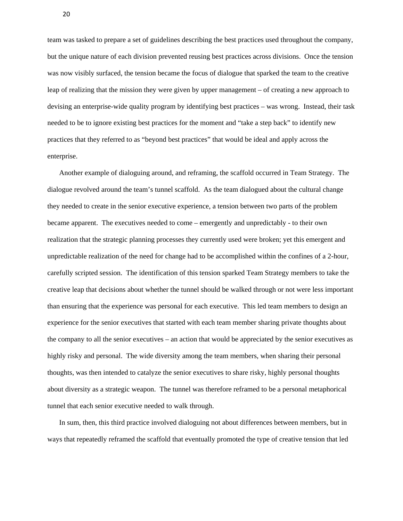team was tasked to prepare a set of guidelines describing the best practices used throughout the company, but the unique nature of each division prevented reusing best practices across divisions. Once the tension was now visibly surfaced, the tension became the focus of dialogue that sparked the team to the creative leap of realizing that the mission they were given by upper management – of creating a new approach to devising an enterprise-wide quality program by identifying best practices – was wrong. Instead, their task needed to be to ignore existing best practices for the moment and "take a step back" to identify new practices that they referred to as "beyond best practices" that would be ideal and apply across the enterprise.

Another example of dialoguing around, and reframing, the scaffold occurred in Team Strategy. The dialogue revolved around the team's tunnel scaffold. As the team dialogued about the cultural change they needed to create in the senior executive experience, a tension between two parts of the problem became apparent. The executives needed to come – emergently and unpredictably - to their own realization that the strategic planning processes they currently used were broken; yet this emergent and unpredictable realization of the need for change had to be accomplished within the confines of a 2-hour, carefully scripted session. The identification of this tension sparked Team Strategy members to take the creative leap that decisions about whether the tunnel should be walked through or not were less important than ensuring that the experience was personal for each executive. This led team members to design an experience for the senior executives that started with each team member sharing private thoughts about the company to all the senior executives – an action that would be appreciated by the senior executives as highly risky and personal. The wide diversity among the team members, when sharing their personal thoughts, was then intended to catalyze the senior executives to share risky, highly personal thoughts about diversity as a strategic weapon. The tunnel was therefore reframed to be a personal metaphorical tunnel that each senior executive needed to walk through.

In sum, then, this third practice involved dialoguing not about differences between members, but in ways that repeatedly reframed the scaffold that eventually promoted the type of creative tension that led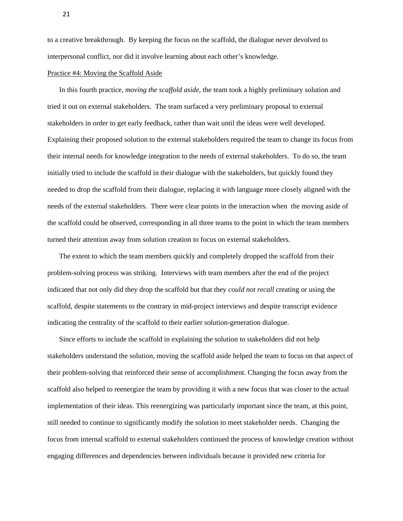to a creative breakthrough. By keeping the focus on the scaffold, the dialogue never devolved to interpersonal conflict, nor did it involve learning about each other's knowledge.

## Practice #4: Moving the Scaffold Aside

In this fourth practice, *moving the scaffold aside*, the team took a highly preliminary solution and tried it out on external stakeholders. The team surfaced a very preliminary proposal to external stakeholders in order to get early feedback, rather than wait until the ideas were well developed. Explaining their proposed solution to the external stakeholders required the team to change its focus from their internal needs for knowledge integration to the needs of external stakeholders. To do so, the team initially tried to include the scaffold in their dialogue with the stakeholders, but quickly found they needed to drop the scaffold from their dialogue, replacing it with language more closely aligned with the needs of the external stakeholders. There were clear points in the interaction when the moving aside of the scaffold could be observed, corresponding in all three teams to the point in which the team members turned their attention away from solution creation to focus on external stakeholders.

The extent to which the team members quickly and completely dropped the scaffold from their problem-solving process was striking. Interviews with team members after the end of the project indicated that not only did they drop the scaffold but that they *could not recall* creating or using the scaffold, despite statements to the contrary in mid-project interviews and despite transcript evidence indicating the centrality of the scaffold to their earlier solution-generation dialogue.

Since efforts to include the scaffold in explaining the solution to stakeholders did not help stakeholders understand the solution, moving the scaffold aside helped the team to focus on that aspect of their problem-solving that reinforced their sense of accomplishment. Changing the focus away from the scaffold also helped to reenergize the team by providing it with a new focus that was closer to the actual implementation of their ideas. This reenergizing was particularly important since the team, at this point, still needed to continue to significantly modify the solution to meet stakeholder needs. Changing the focus from internal scaffold to external stakeholders continued the process of knowledge creation without engaging differences and dependencies between individuals because it provided new criteria for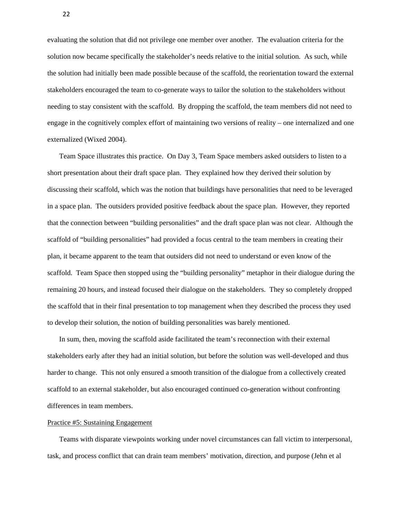evaluating the solution that did not privilege one member over another. The evaluation criteria for the solution now became specifically the stakeholder's needs relative to the initial solution. As such, while the solution had initially been made possible because of the scaffold, the reorientation toward the external stakeholders encouraged the team to co-generate ways to tailor the solution to the stakeholders without needing to stay consistent with the scaffold. By dropping the scaffold, the team members did not need to engage in the cognitively complex effort of maintaining two versions of reality – one internalized and one externalized (Wixed 2004).

Team Space illustrates this practice. On Day 3, Team Space members asked outsiders to listen to a short presentation about their draft space plan. They explained how they derived their solution by discussing their scaffold, which was the notion that buildings have personalities that need to be leveraged in a space plan. The outsiders provided positive feedback about the space plan. However, they reported that the connection between "building personalities" and the draft space plan was not clear. Although the scaffold of "building personalities" had provided a focus central to the team members in creating their plan, it became apparent to the team that outsiders did not need to understand or even know of the scaffold. Team Space then stopped using the "building personality" metaphor in their dialogue during the remaining 20 hours, and instead focused their dialogue on the stakeholders. They so completely dropped the scaffold that in their final presentation to top management when they described the process they used to develop their solution, the notion of building personalities was barely mentioned.

In sum, then, moving the scaffold aside facilitated the team's reconnection with their external stakeholders early after they had an initial solution, but before the solution was well-developed and thus harder to change. This not only ensured a smooth transition of the dialogue from a collectively created scaffold to an external stakeholder, but also encouraged continued co-generation without confronting differences in team members.

## Practice #5: Sustaining Engagement

Teams with disparate viewpoints working under novel circumstances can fall victim to interpersonal, task, and process conflict that can drain team members' motivation, direction, and purpose (Jehn et al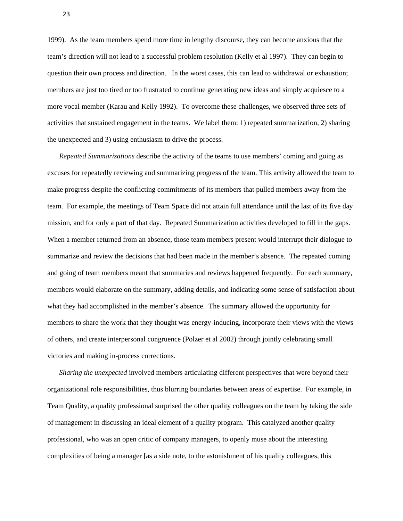1999). As the team members spend more time in lengthy discourse, they can become anxious that the team's direction will not lead to a successful problem resolution (Kelly et al 1997). They can begin to question their own process and direction. In the worst cases, this can lead to withdrawal or exhaustion; members are just too tired or too frustrated to continue generating new ideas and simply acquiesce to a more vocal member (Karau and Kelly 1992). To overcome these challenges, we observed three sets of activities that sustained engagement in the teams. We label them: 1) repeated summarization, 2) sharing the unexpected and 3) using enthusiasm to drive the process.

*Repeated Summarizations* describe the activity of the teams to use members' coming and going as excuses for repeatedly reviewing and summarizing progress of the team. This activity allowed the team to make progress despite the conflicting commitments of its members that pulled members away from the team. For example, the meetings of Team Space did not attain full attendance until the last of its five day mission, and for only a part of that day. Repeated Summarization activities developed to fill in the gaps. When a member returned from an absence, those team members present would interrupt their dialogue to summarize and review the decisions that had been made in the member's absence. The repeated coming and going of team members meant that summaries and reviews happened frequently. For each summary, members would elaborate on the summary, adding details, and indicating some sense of satisfaction about what they had accomplished in the member's absence. The summary allowed the opportunity for members to share the work that they thought was energy-inducing, incorporate their views with the views of others, and create interpersonal congruence (Polzer et al 2002) through jointly celebrating small victories and making in-process corrections.

*Sharing the unexpected* involved members articulating different perspectives that were beyond their organizational role responsibilities, thus blurring boundaries between areas of expertise. For example, in Team Quality, a quality professional surprised the other quality colleagues on the team by taking the side of management in discussing an ideal element of a quality program. This catalyzed another quality professional, who was an open critic of company managers, to openly muse about the interesting complexities of being a manager [as a side note, to the astonishment of his quality colleagues, this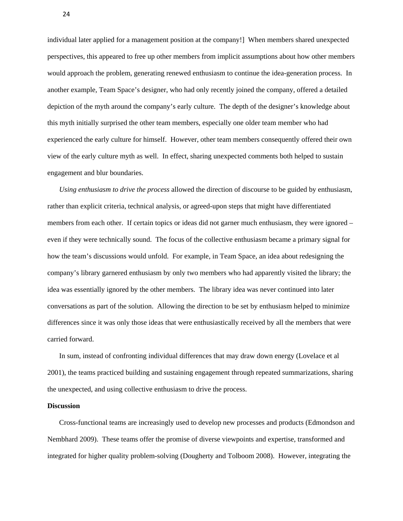individual later applied for a management position at the company!] When members shared unexpected perspectives, this appeared to free up other members from implicit assumptions about how other members would approach the problem, generating renewed enthusiasm to continue the idea-generation process. In another example, Team Space's designer, who had only recently joined the company, offered a detailed depiction of the myth around the company's early culture. The depth of the designer's knowledge about this myth initially surprised the other team members, especially one older team member who had experienced the early culture for himself. However, other team members consequently offered their own view of the early culture myth as well. In effect, sharing unexpected comments both helped to sustain engagement and blur boundaries.

*Using enthusiasm to drive the process* allowed the direction of discourse to be guided by enthusiasm, rather than explicit criteria, technical analysis, or agreed-upon steps that might have differentiated members from each other. If certain topics or ideas did not garner much enthusiasm, they were ignored – even if they were technically sound. The focus of the collective enthusiasm became a primary signal for how the team's discussions would unfold. For example, in Team Space, an idea about redesigning the company's library garnered enthusiasm by only two members who had apparently visited the library; the idea was essentially ignored by the other members. The library idea was never continued into later conversations as part of the solution. Allowing the direction to be set by enthusiasm helped to minimize differences since it was only those ideas that were enthusiastically received by all the members that were carried forward.

In sum, instead of confronting individual differences that may draw down energy (Lovelace et al 2001), the teams practiced building and sustaining engagement through repeated summarizations, sharing the unexpected, and using collective enthusiasm to drive the process.

#### **Discussion**

Cross-functional teams are increasingly used to develop new processes and products (Edmondson and Nembhard 2009). These teams offer the promise of diverse viewpoints and expertise, transformed and integrated for higher quality problem-solving (Dougherty and Tolboom 2008). However, integrating the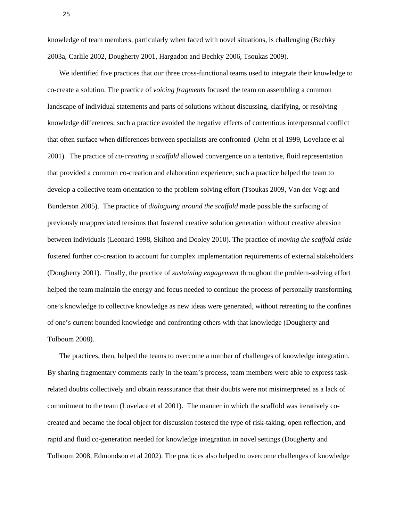knowledge of team members, particularly when faced with novel situations, is challenging (Bechky 2003a, Carlile 2002, Dougherty 2001, Hargadon and Bechky 2006, Tsoukas 2009).

We identified five practices that our three cross-functional teams used to integrate their knowledge to co-create a solution. The practice of *voicing fragments* focused the team on assembling a common landscape of individual statements and parts of solutions without discussing, clarifying, or resolving knowledge differences; such a practice avoided the negative effects of contentious interpersonal conflict that often surface when differences between specialists are confronted (Jehn et al 1999, Lovelace et al 2001). The practice of *co-creating a scaffold* allowed convergence on a tentative, fluid representation that provided a common co-creation and elaboration experience; such a practice helped the team to develop a collective team orientation to the problem-solving effort (Tsoukas 2009, Van der Vegt and Bunderson 2005). The practice of *dialoguing around the scaffold* made possible the surfacing of previously unappreciated tensions that fostered creative solution generation without creative abrasion between individuals (Leonard 1998, Skilton and Dooley 2010). The practice of *moving the scaffold aside*  fostered further co-creation to account for complex implementation requirements of external stakeholders (Dougherty 2001). Finally, the practice of *sustaining engagement* throughout the problem-solving effort helped the team maintain the energy and focus needed to continue the process of personally transforming one's knowledge to collective knowledge as new ideas were generated, without retreating to the confines of one's current bounded knowledge and confronting others with that knowledge (Dougherty and Tolboom 2008).

The practices, then, helped the teams to overcome a number of challenges of knowledge integration. By sharing fragmentary comments early in the team's process, team members were able to express taskrelated doubts collectively and obtain reassurance that their doubts were not misinterpreted as a lack of commitment to the team (Lovelace et al 2001). The manner in which the scaffold was iteratively cocreated and became the focal object for discussion fostered the type of risk-taking, open reflection, and rapid and fluid co-generation needed for knowledge integration in novel settings (Dougherty and Tolboom 2008, Edmondson et al 2002). The practices also helped to overcome challenges of knowledge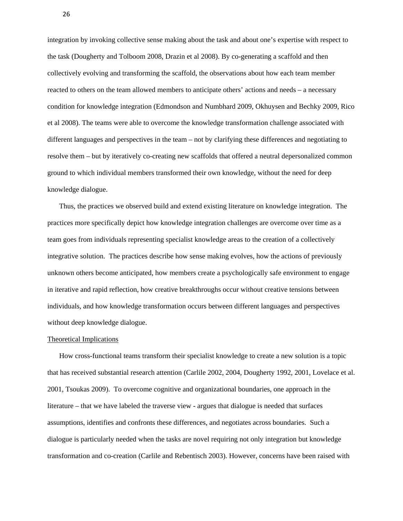integration by invoking collective sense making about the task and about one's expertise with respect to the task (Dougherty and Tolboom 2008, Drazin et al 2008). By co-generating a scaffold and then collectively evolving and transforming the scaffold, the observations about how each team member reacted to others on the team allowed members to anticipate others' actions and needs – a necessary condition for knowledge integration (Edmondson and Numbhard 2009, Okhuysen and Bechky 2009, Rico et al 2008). The teams were able to overcome the knowledge transformation challenge associated with different languages and perspectives in the team – not by clarifying these differences and negotiating to resolve them – but by iteratively co-creating new scaffolds that offered a neutral depersonalized common ground to which individual members transformed their own knowledge, without the need for deep knowledge dialogue.

Thus, the practices we observed build and extend existing literature on knowledge integration. The practices more specifically depict how knowledge integration challenges are overcome over time as a team goes from individuals representing specialist knowledge areas to the creation of a collectively integrative solution. The practices describe how sense making evolves, how the actions of previously unknown others become anticipated, how members create a psychologically safe environment to engage in iterative and rapid reflection, how creative breakthroughs occur without creative tensions between individuals, and how knowledge transformation occurs between different languages and perspectives without deep knowledge dialogue.

#### Theoretical Implications

How cross-functional teams transform their specialist knowledge to create a new solution is a topic that has received substantial research attention (Carlile 2002, 2004, Dougherty 1992, 2001, Lovelace et al. 2001, Tsoukas 2009). To overcome cognitive and organizational boundaries, one approach in the literature – that we have labeled the traverse view - argues that dialogue is needed that surfaces assumptions, identifies and confronts these differences, and negotiates across boundaries. Such a dialogue is particularly needed when the tasks are novel requiring not only integration but knowledge transformation and co-creation (Carlile and Rebentisch 2003). However, concerns have been raised with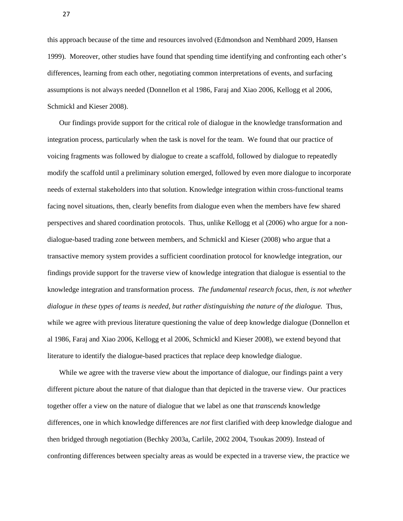this approach because of the time and resources involved (Edmondson and Nembhard 2009, Hansen 1999). Moreover, other studies have found that spending time identifying and confronting each other's differences, learning from each other, negotiating common interpretations of events, and surfacing assumptions is not always needed (Donnellon et al 1986, Faraj and Xiao 2006, Kellogg et al 2006, Schmickl and Kieser 2008).

Our findings provide support for the critical role of dialogue in the knowledge transformation and integration process, particularly when the task is novel for the team. We found that our practice of voicing fragments was followed by dialogue to create a scaffold, followed by dialogue to repeatedly modify the scaffold until a preliminary solution emerged, followed by even more dialogue to incorporate needs of external stakeholders into that solution. Knowledge integration within cross-functional teams facing novel situations, then, clearly benefits from dialogue even when the members have few shared perspectives and shared coordination protocols. Thus, unlike Kellogg et al (2006) who argue for a nondialogue-based trading zone between members, and Schmickl and Kieser (2008) who argue that a transactive memory system provides a sufficient coordination protocol for knowledge integration, our findings provide support for the traverse view of knowledge integration that dialogue is essential to the knowledge integration and transformation process. *The fundamental research focus, then, is not whether dialogue in these types of teams is needed, but rather distinguishing the nature of the dialogue.* Thus, while we agree with previous literature questioning the value of deep knowledge dialogue (Donnellon et al 1986, Faraj and Xiao 2006, Kellogg et al 2006, Schmickl and Kieser 2008), we extend beyond that literature to identify the dialogue-based practices that replace deep knowledge dialogue.

While we agree with the traverse view about the importance of dialogue, our findings paint a very different picture about the nature of that dialogue than that depicted in the traverse view. Our practices together offer a view on the nature of dialogue that we label as one that *transcends* knowledge differences, one in which knowledge differences are *not* first clarified with deep knowledge dialogue and then bridged through negotiation (Bechky 2003a, Carlile, 2002 2004, Tsoukas 2009). Instead of confronting differences between specialty areas as would be expected in a traverse view, the practice we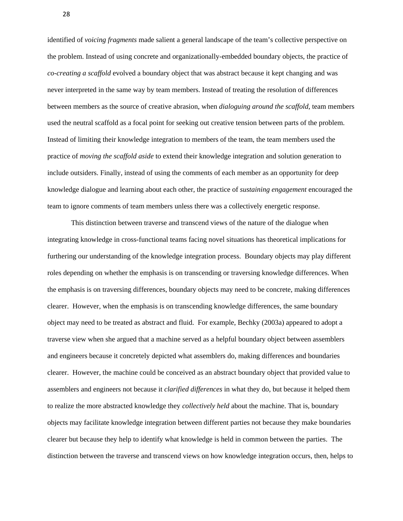identified of *voicing fragments* made salient a general landscape of the team's collective perspective on the problem. Instead of using concrete and organizationally-embedded boundary objects, the practice of *co-creating a scaffold* evolved a boundary object that was abstract because it kept changing and was never interpreted in the same way by team members. Instead of treating the resolution of differences between members as the source of creative abrasion, when *dialoguing around the scaffold*, team members used the neutral scaffold as a focal point for seeking out creative tension between parts of the problem. Instead of limiting their knowledge integration to members of the team, the team members used the practice of *moving the scaffold aside* to extend their knowledge integration and solution generation to include outsiders. Finally, instead of using the comments of each member as an opportunity for deep knowledge dialogue and learning about each other, the practice of *sustaining engagement* encouraged the team to ignore comments of team members unless there was a collectively energetic response.

 This distinction between traverse and transcend views of the nature of the dialogue when integrating knowledge in cross-functional teams facing novel situations has theoretical implications for furthering our understanding of the knowledge integration process. Boundary objects may play different roles depending on whether the emphasis is on transcending or traversing knowledge differences. When the emphasis is on traversing differences, boundary objects may need to be concrete, making differences clearer. However, when the emphasis is on transcending knowledge differences, the same boundary object may need to be treated as abstract and fluid. For example, Bechky (2003a) appeared to adopt a traverse view when she argued that a machine served as a helpful boundary object between assemblers and engineers because it concretely depicted what assemblers do, making differences and boundaries clearer. However, the machine could be conceived as an abstract boundary object that provided value to assemblers and engineers not because it *clarified differences* in what they do, but because it helped them to realize the more abstracted knowledge they *collectively held* about the machine. That is, boundary objects may facilitate knowledge integration between different parties not because they make boundaries clearer but because they help to identify what knowledge is held in common between the parties. The distinction between the traverse and transcend views on how knowledge integration occurs, then, helps to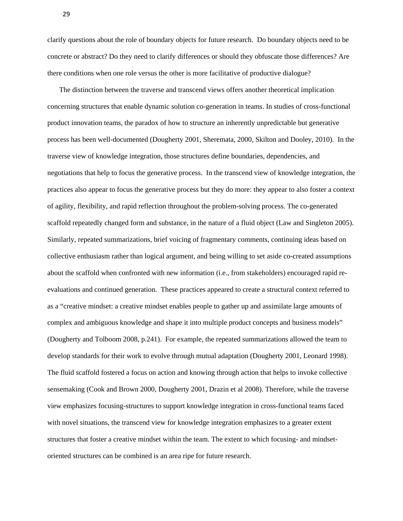clarify questions about the role of boundary objects for future research. Do boundary objects need to be concrete or abstract? Do they need to clarify differences or should they obfuscate those differences? Are there conditions when one role versus the other is more facilitative of productive dialogue?

 The distinction between the traverse and transcend views offers another theoretical implication concerning structures that enable dynamic solution co-generation in teams. In studies of cross-functional product innovation teams, the paradox of how to structure an inherently unpredictable but generative process has been well-documented (Dougherty 2001, Sheremata, 2000, Skilton and Dooley, 2010). In the traverse view of knowledge integration, those structures define boundaries, dependencies, and negotiations that help to focus the generative process. In the transcend view of knowledge integration, the practices also appear to focus the generative process but they do more: they appear to also foster a context of agility, flexibility, and rapid reflection throughout the problem-solving process. The co-generated scaffold repeatedly changed form and substance, in the nature of a fluid object (Law and Singleton 2005). Similarly, repeated summarizations, brief voicing of fragmentary comments, continuing ideas based on collective enthusiasm rather than logical argument, and being willing to set aside co-created assumptions about the scaffold when confronted with new information (i.e., from stakeholders) encouraged rapid reevaluations and continued generation. These practices appeared to create a structural context referred to as a "creative mindset: a creative mindset enables people to gather up and assimilate large amounts of complex and ambiguous knowledge and shape it into multiple product concepts and business models" (Dougherty and Tolboom 2008, p.241). For example, the repeated summarizations allowed the team to develop standards for their work to evolve through mutual adaptation (Dougherty 2001, Leonard 1998). The fluid scaffold fostered a focus on action and knowing through action that helps to invoke collective sensemaking (Cook and Brown 2000, Dougherty 2001, Drazin et al 2008). Therefore, while the traverse view emphasizes focusing-structures to support knowledge integration in cross-functional teams faced with novel situations, the transcend view for knowledge integration emphasizes to a greater extent structures that foster a creative mindset within the team. The extent to which focusing- and mindsetoriented structures can be combined is an area ripe for future research.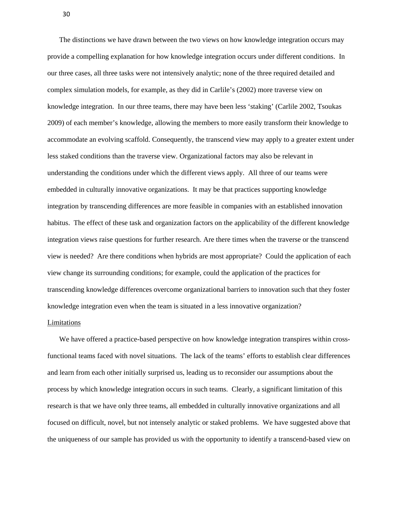The distinctions we have drawn between the two views on how knowledge integration occurs may provide a compelling explanation for how knowledge integration occurs under different conditions. In our three cases, all three tasks were not intensively analytic; none of the three required detailed and complex simulation models, for example, as they did in Carlile's (2002) more traverse view on knowledge integration. In our three teams, there may have been less 'staking' (Carlile 2002, Tsoukas 2009) of each member's knowledge, allowing the members to more easily transform their knowledge to accommodate an evolving scaffold. Consequently, the transcend view may apply to a greater extent under less staked conditions than the traverse view. Organizational factors may also be relevant in understanding the conditions under which the different views apply. All three of our teams were embedded in culturally innovative organizations. It may be that practices supporting knowledge integration by transcending differences are more feasible in companies with an established innovation habitus. The effect of these task and organization factors on the applicability of the different knowledge integration views raise questions for further research. Are there times when the traverse or the transcend view is needed? Are there conditions when hybrids are most appropriate? Could the application of each view change its surrounding conditions; for example, could the application of the practices for transcending knowledge differences overcome organizational barriers to innovation such that they foster knowledge integration even when the team is situated in a less innovative organization?

## Limitations

 We have offered a practice-based perspective on how knowledge integration transpires within crossfunctional teams faced with novel situations. The lack of the teams' efforts to establish clear differences and learn from each other initially surprised us, leading us to reconsider our assumptions about the process by which knowledge integration occurs in such teams. Clearly, a significant limitation of this research is that we have only three teams, all embedded in culturally innovative organizations and all focused on difficult, novel, but not intensely analytic or staked problems. We have suggested above that the uniqueness of our sample has provided us with the opportunity to identify a transcend-based view on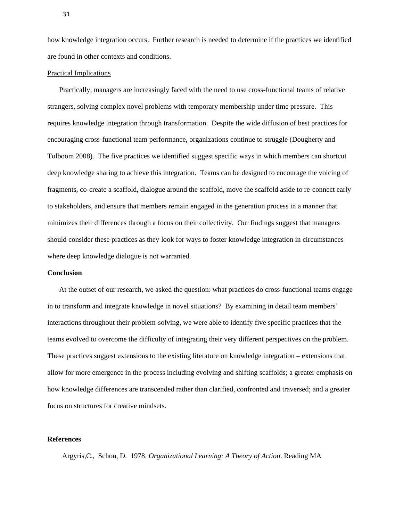how knowledge integration occurs. Further research is needed to determine if the practices we identified are found in other contexts and conditions.

## Practical Implications

Practically, managers are increasingly faced with the need to use cross-functional teams of relative strangers, solving complex novel problems with temporary membership under time pressure. This requires knowledge integration through transformation. Despite the wide diffusion of best practices for encouraging cross-functional team performance, organizations continue to struggle (Dougherty and Tolboom 2008). The five practices we identified suggest specific ways in which members can shortcut deep knowledge sharing to achieve this integration. Teams can be designed to encourage the voicing of fragments, co-create a scaffold, dialogue around the scaffold, move the scaffold aside to re-connect early to stakeholders, and ensure that members remain engaged in the generation process in a manner that minimizes their differences through a focus on their collectivity. Our findings suggest that managers should consider these practices as they look for ways to foster knowledge integration in circumstances where deep knowledge dialogue is not warranted.

#### **Conclusion**

At the outset of our research, we asked the question: what practices do cross-functional teams engage in to transform and integrate knowledge in novel situations? By examining in detail team members' interactions throughout their problem-solving, we were able to identify five specific practices that the teams evolved to overcome the difficulty of integrating their very different perspectives on the problem. These practices suggest extensions to the existing literature on knowledge integration – extensions that allow for more emergence in the process including evolving and shifting scaffolds; a greater emphasis on how knowledge differences are transcended rather than clarified, confronted and traversed; and a greater focus on structures for creative mindsets.

# **References**

Argyris,C., Schon, D. 1978. *Organizational Learning: A Theory of Action*. Reading MA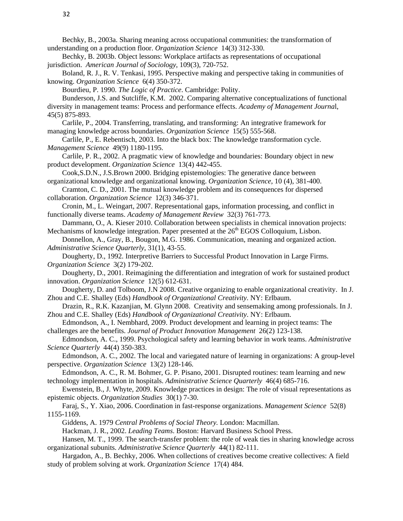Bechky, B., 2003a. Sharing meaning across occupational communities: the transformation of understanding on a production floor. *Organization Science* 14(3) 312-330.

Bechky, B. 2003b. Object lessons: Workplace artifacts as representations of occupational jurisdiction. *American Journal of Sociology*, 109(3), 720-752.

Boland, R. J., R. V. Tenkasi, 1995. Perspective making and perspective taking in communities of knowing. *Organization Science* 6(4) 350-372.

Bourdieu, P. 1990. *The Logic of Practice*. Cambridge: Polity.

Bunderson, J.S. and Sutcliffe, K.M. 2002. Comparing alternative conceptualizations of functional diversity in management teams: Process and performance effects. *Academy of Management Journa*l, 45(5) 875-893.

Carlile, P., 2004. Transferring, translating, and transforming: An integrative framework for managing knowledge across boundaries. *Organization Science* 15(5) 555-568.

Carlile, P., E. Rebentisch, 2003. Into the black box: The knowledge transformation cycle. *Management Science* 49(9) 1180-1195.

Carlile, P. R., 2002. A pragmatic view of knowledge and boundaries: Boundary object in new product development. *Organization Science* 13(4) 442-455.

Cook,S.D.N., J.S.Brown 2000. Bridging epistemologies: The generative dance between organizational knowledge and organizational knowing. *Organization Science*, 10 (4), 381-400.

Cramton, C. D., 2001. The mutual knowledge problem and its consequences for dispersed collaboration. *Organization Science* 12(3) 346-371.

Cronin, M., L. Weingart, 2007. Representational gaps, information processing, and conflict in functionally diverse teams. *Academy of Management Review* 32(3) 761-773.

Dammann, O., A. Kieser 2010. Collaboration between specialists in chemical innovation projects: Mechanisms of knowledge integration. Paper presented at the 26<sup>th</sup> EGOS Colloquium, Lisbon.

Donnellon, A., Gray, B., Bougon, M.G. 1986. Communication, meaning and organized action. *Administrative Science Quarterly*, 31(1), 43-55.

Dougherty, D., 1992. Interpretive Barriers to Successful Product Innovation in Large Firms. *Organization Science* 3(2) 179-202.

Dougherty, D., 2001. Reimagining the differentiation and integration of work for sustained product innovation. *Organization Science* 12(5) 612-631.

Dougherty, D. and Tolboom, J.N 2008. Creative organizing to enable organizational creativity. In J. Zhou and C.E. Shalley (Eds) *Handbook of Organizational Creativity*. NY: Erlbaum.

Drazin, R., R.K. Kazanjian, M. Glynn 2008. Creativity and sensemaking among professionals. In J. Zhou and C.E. Shalley (Eds) *Handbook of Organizational Creativity*. NY: Erlbaum.

Edmondson, A., I. Nembhard, 2009. Product development and learning in project teams: The challenges are the benefits. *Journal of Product Innovation Management* 26(2) 123-138.

Edmondson, A. C., 1999. Psychological safety and learning behavior in work teams. *Administrative Science Quarterly* 44(4) 350-383.

Edmondson, A. C., 2002. The local and variegated nature of learning in organizations: A group-level perspective. *Organization Science* 13(2) 128-146.

Edmondson, A. C., R. M. Bohmer, G. P. Pisano, 2001. Disrupted routines: team learning and new technology implementation in hospitals. *Administrative Science Quarterly* 46(4) 685-716.

Ewenstein, B., J. Whyte, 2009. Knowledge practices in design: The role of visual representations as epistemic objects. *Organization Studies* 30(1) 7-30.

Faraj, S., Y. Xiao, 2006. Coordination in fast-response organizations. *Management Science* 52(8) 1155-1169.

Giddens, A. 1979 *Central Problems of Social Theory.* London: Macmillan.

Hackman, J. R., 2002. *Leading Teams*. Boston: Harvard Business School Press.

Hansen, M. T., 1999. The search-transfer problem: the role of weak ties in sharing knowledge across organizational subunits. *Administrative Science Quarterly* 44(1) 82-111.

Hargadon, A., B. Bechky, 2006. When collections of creatives become creative collectives: A field study of problem solving at work. *Organization Science* 17(4) 484.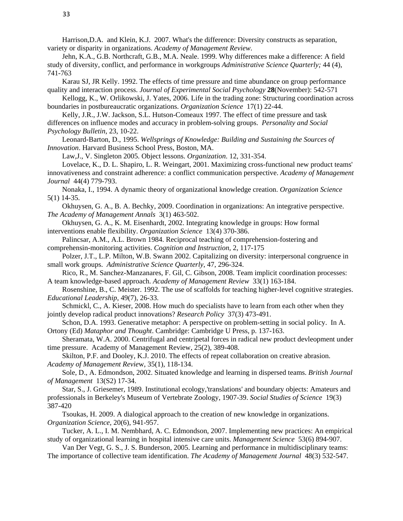Harrison,D.A. and Klein, K.J. 2007. What's the difference: Diversity constructs as separation, variety or disparity in organizations. *Academy of Management Review*.

Jehn, K.A., G.B. Northcraft, G.B., M.A. Neale. 1999. Why differences make a difference: A field study of diversity, conflict, and performance in workgroups *Administrative Science Quarterly;* 44 (4), 741-763

Karau SJ, JR Kelly. 1992. The effects of time pressure and time abundance on group performance quality and interaction process. *Journal of Experimental Social Psychology* **28**(November): 542-571

Kellogg, K., W. Orlikowski, J. Yates, 2006. Life in the trading zone: Structuring coordination across boundaries in postbureaucratic organizations. *Organization Science* 17(1) 22-44.

Kelly, J.R., J.W. Jackson, S.L. Hutson-Comeaux 1997. The effect of time pressure and task differences on influence modes and accuracy in problem-solving groups. *Personality and Social Psychology Bulletin*, 23, 10-22.

Leonard-Barton, D., 1995. *Wellsprings of Knowledge: Building and Sustaining the Sources of Innovation*. Harvard Business School Press, Boston, MA.

Law,J., V. Singleton 2005. Object lessons. *Organization*. 12, 331-354.

Lovelace, K., D. L. Shapiro, L. R. Weingart, 2001. Maximizing cross-functional new product teams' innovativeness and constraint adherence: a conflict communication perspective. *Academy of Management Journal* 44(4) 779-793.

Nonaka, I., 1994. A dynamic theory of organizational knowledge creation. *Organization Science*  5(1) 14-35.

Okhuysen, G. A., B. A. Bechky, 2009. Coordination in organizations: An integrative perspective. *The Academy of Management Annals* 3(1) 463-502.

Okhuysen, G. A., K. M. Eisenhardt, 2002. Integrating knowledge in groups: How formal interventions enable flexibility. *Organization Science* 13(4) 370-386.

Palincsar, A.M., A.L. Brown 1984. Reciprocal teaching of comprehension-fostering and comprehensin-monitoring activities. *Cognition and Instruction*, 2, 117-175

Polzer, J.T., L.P. Milton, W.B. Swann 2002. Capitalizing on diversity: interpersonal congruence in small work groups. *Administrative Science Quarterly*, 47, 296-324.

Rico, R., M. Sanchez-Manzanares, F. Gil, C. Gibson, 2008. Team implicit coordination processes: A team knowledge-based approach. *Academy of Management Review* 33(1) 163-184.

Rosenshine, B., C. Meister. 1992. The use of scaffolds for teaching higher-level cognitive strategies. *Educational Leadership*, 49(7), 26-33.

Schmickl, C., A. Kieser, 2008. How much do specialists have to learn from each other when they jointly develop radical product innovations? *Research Policy* 37(3) 473-491.

Schon, D.A. 1993. Generative metaphor: A perspective on problem-setting in social policy. In A. Ortony (Ed) *Mataphor and Thought*. Cambridge: Cambridge U Press, p. 137-163.

Sheramata, W.A. 2000. Centrifugal and centripetal forces in radical new product devleopment under time pressure. Academy of Management Review, 25(2), 389-408.

Skilton, P.F. and Dooley, K.J. 2010. The effects of repeat collaboration on creative abrasion. *Academy of Management Revie*w, 35(1), 118-134.

Sole, D., A. Edmondson, 2002. Situated knowledge and learning in dispersed teams. *British Journal of Management* 13(S2) 17-34.

Star, S., J. Griesemer, 1989. Institutional ecology,'translations' and boundary objects: Amateurs and professionals in Berkeley's Museum of Vertebrate Zoology, 1907-39. *Social Studies of Science* 19(3) 387-420

Tsoukas, H. 2009. A dialogical approach to the creation of new knowledge in organizations. *Organization Science*, 20(6), 941-957.

Tucker, A. L., I. M. Nembhard, A. C. Edmondson, 2007. Implementing new practices: An empirical study of organizational learning in hospital intensive care units. *Management Science* 53(6) 894-907.

Van Der Vegt, G. S., J. S. Bunderson, 2005. Learning and performance in multidisciplinary teams: The importance of collective team identification. *The Academy of Management Journal* 48(3) 532-547.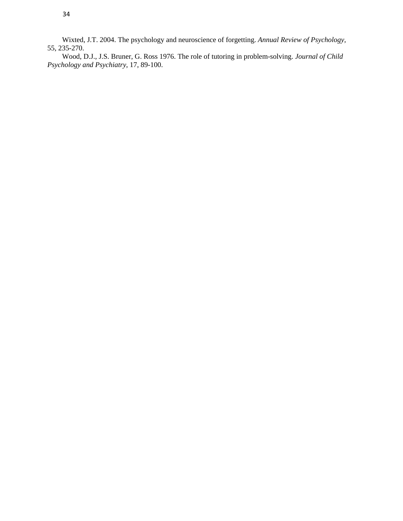Wixted, J.T. 2004. The psychology and neuroscience of forgetting. *Annual Review of Psychology,* 55, 235-270.

Wood, D.J., J.S. Bruner, G. Ross 1976. The role of tutoring in problem-solving. *Journal of Child Psychology and Psychiatry*, 17, 89-100.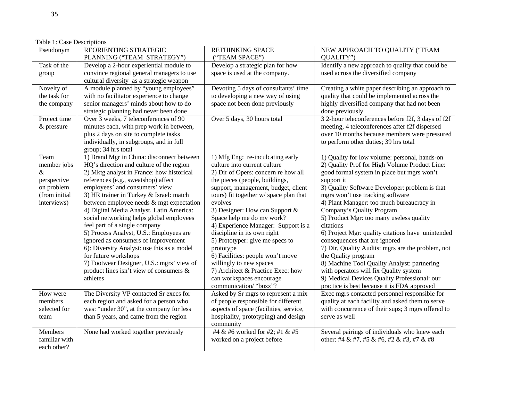| Table 1: Case Descriptions |                                                                                      |                                                              |                                                                                        |  |
|----------------------------|--------------------------------------------------------------------------------------|--------------------------------------------------------------|----------------------------------------------------------------------------------------|--|
| Pseudonym                  | REORIENTING STRATEGIC                                                                | RETHINKING SPACE                                             | NEW APPROACH TO QUALITY ("TEAM                                                         |  |
|                            | PLANNING ("TEAM STRATEGY")                                                           | ("TEAM SPACE")                                               | QUALITY")                                                                              |  |
| Task of the                | Develop a 2-hour experiential module to                                              | Develop a strategic plan for how                             | Identify a new approach to quality that could be                                       |  |
| group                      | convince regional general managers to use                                            | space is used at the company.                                | used across the diversified company                                                    |  |
|                            | cultural diversity as a strategic weapon                                             |                                                              |                                                                                        |  |
| Novelty of                 | A module planned by "young employees"                                                | Devoting 5 days of consultants' time                         | Creating a white paper describing an approach to                                       |  |
| the task for               | with no facilitator experience to change                                             | to developing a new way of using                             | quality that could be implemented across the                                           |  |
| the company                | senior managers' minds about how to do                                               | space not been done previously                               | highly diversified company that had not been                                           |  |
|                            | strategic planning had never been done                                               |                                                              | done previously                                                                        |  |
| Project time               | Over 3 weeks, 7 teleconferences of 90                                                | Over 5 days, 30 hours total                                  | 3 2-hour teleconferences before f2f, 3 days of f2f                                     |  |
| & pressure                 | minutes each, with prep work in between,                                             |                                                              | meeting, 4 teleconferences after f2f dispersed                                         |  |
|                            | plus 2 days on site to complete tasks                                                |                                                              | over 10 months because members were pressured                                          |  |
|                            | individually, in subgroups, and in full                                              |                                                              | to perform other duties; 39 hrs total                                                  |  |
|                            | group; 34 hrs total                                                                  |                                                              |                                                                                        |  |
| Team                       | 1) Brand Mgr in China: disconnect between                                            | 1) Mfg Eng: re-inculcating early                             | 1) Quality for low volume: personal, hands-on                                          |  |
| member jobs                | HQ's direction and culture of the region                                             | culture into current culture                                 | 2) Quality Prof for High Volume Product Line:                                          |  |
| $\&$                       | 2) Mktg analyst in France: how historical                                            | 2) Dir of Opers: concern re how all                          | good formal system in place but mgrs won't                                             |  |
| perspective                | references (e.g., sweatshop) affect                                                  | the pieces (people, buildings,                               | support it                                                                             |  |
| on problem                 | employees' and consumers' view                                                       | support, management, budget, client                          | 3) Quality Software Developer: problem is that                                         |  |
| (from initial              | 3) HR trainer in Turkey & Israel: match                                              | tours) fit together w/ space plan that                       | mgrs won't use tracking software                                                       |  |
| interviews)                | between employee needs & mgt expectation                                             | evolves                                                      | 4) Plant Manager: too much bureaucracy in                                              |  |
|                            | 4) Digital Media Analyst, Latin America:                                             | 3) Designer: How can Support &                               | Company's Quality Program                                                              |  |
|                            | social networking helps global employees                                             | Space help me do my work?                                    | 5) Product Mgr: too many useless quality                                               |  |
|                            | feel part of a single company                                                        | 4) Experience Manager: Support is a                          | citations                                                                              |  |
|                            | 5) Process Analyst, U.S.: Employees are                                              | discipline in its own right                                  | 6) Project Mgr: quality citations have unintended                                      |  |
|                            | ignored as consumers of improvement                                                  | 5) Prototyper: give me specs to                              | consequences that are ignored                                                          |  |
|                            | 6): Diversity Analyst: use this as a model                                           | prototype                                                    | 7) Dir, Quality Audits: mgrs are the problem, not                                      |  |
|                            | for future workshops                                                                 | 6) Facilities: people won't move                             | the Quality program                                                                    |  |
|                            | 7) Footwear Designer, U.S.: mgrs' view of<br>product lines isn't view of consumers & | willingly to new spaces<br>7) Architect & Practice Exec: how | 8) Machine Tool Quality Analyst: partnering                                            |  |
|                            | athletes                                                                             | can workspaces encourage                                     | with operators will fix Quality system<br>9) Medical Devices Quality Professional: our |  |
|                            |                                                                                      | communication/ "buzz"?                                       | practice is best because it is FDA approved                                            |  |
| How were                   | The Diversity VP contacted Sr execs for                                              | Asked by Sr mgrs to represent a mix                          | Exec mgrs contacted personnel responsible for                                          |  |
| members                    | each region and asked for a person who                                               | of people responsible for different                          | quality at each facility and asked them to serve                                       |  |
| selected for               | was: "under 30", at the company for less                                             | aspects of space (facilities, service,                       | with concurrence of their sups; 3 mgrs offered to                                      |  |
| team                       | than 5 years, and came from the region                                               | hospitality, prototyping) and design                         | serve as well                                                                          |  |
|                            |                                                                                      | community                                                    |                                                                                        |  |
| Members                    | None had worked together previously                                                  | #4 & #6 worked for #2; #1 & #5                               | Several pairings of individuals who knew each                                          |  |
| familiar with              |                                                                                      | worked on a project before                                   | other: #4 & #7, #5 & #6, #2 & #3, #7 & #8                                              |  |
| each other?                |                                                                                      |                                                              |                                                                                        |  |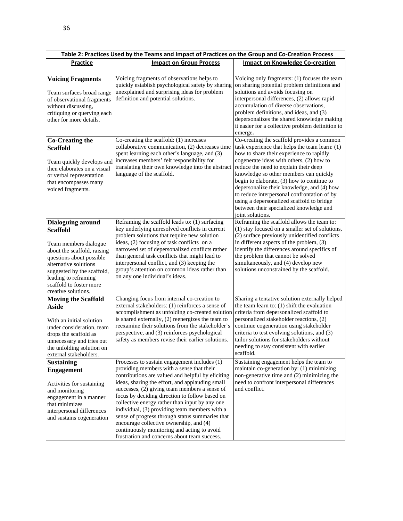|                                                                                                                                                                                                                                                           | Table 2: Practices Used by the Teams and Impact of Practices on the Group and Co-Creation Process                                                                                                                                                                                                                                                                                                                                                                                                                                                                                                    |                                                                                                                                                                                                                                                                                                                                                                                                                                                                                                                                |  |  |  |  |
|-----------------------------------------------------------------------------------------------------------------------------------------------------------------------------------------------------------------------------------------------------------|------------------------------------------------------------------------------------------------------------------------------------------------------------------------------------------------------------------------------------------------------------------------------------------------------------------------------------------------------------------------------------------------------------------------------------------------------------------------------------------------------------------------------------------------------------------------------------------------------|--------------------------------------------------------------------------------------------------------------------------------------------------------------------------------------------------------------------------------------------------------------------------------------------------------------------------------------------------------------------------------------------------------------------------------------------------------------------------------------------------------------------------------|--|--|--|--|
| Practice                                                                                                                                                                                                                                                  | <b>Impact on Group Process</b>                                                                                                                                                                                                                                                                                                                                                                                                                                                                                                                                                                       | <b>Impact on Knowledge Co-creation</b>                                                                                                                                                                                                                                                                                                                                                                                                                                                                                         |  |  |  |  |
| <b>Voicing Fragments</b><br>Team surfaces broad range<br>of observational fragments<br>without discussing,<br>critiquing or querying each<br>other for more details.                                                                                      | Voicing fragments of observations helps to<br>quickly establish psychological safety by sharing<br>unexplained and surprising ideas for problem<br>definition and potential solutions.                                                                                                                                                                                                                                                                                                                                                                                                               | Voicing only fragments: (1) focuses the team<br>on sharing potential problem definitions and<br>solutions and avoids focusing on<br>interpersonal differences, (2) allows rapid<br>accumulation of diverse observations,<br>problem definitions, and ideas, and (3)<br>depersonalizes the shared knowledge making<br>it easier for a collective problem definition to<br>emerge.                                                                                                                                               |  |  |  |  |
| <b>Co-Creating the</b><br><b>Scaffold</b><br>Team quickly develops and<br>then elaborates on a visual<br>or verbal representation<br>that encompasses many<br>voiced fragments.                                                                           | Co-creating the scaffold: (1) increases<br>collaborative communication, (2) decreases time<br>spent learning each other's language, and (3)<br>increases members' felt responsibility for<br>translating their own knowledge into the abstract<br>language of the scaffold.                                                                                                                                                                                                                                                                                                                          | Co-creating the scaffold provides a common<br>task experience that helps the team learn: (1)<br>how to share their experience to rapidly<br>cogenerate ideas with others, (2) how to<br>reduce the need to explain their deep<br>knowledge so other members can quickly<br>begin to elaborate, (3) how to continue to<br>depersonalize their knowledge, and (4) how<br>to reduce interpersonal confrontation of by<br>using a depersonalized scaffold to bridge<br>between their specialized knowledge and<br>joint solutions. |  |  |  |  |
| Dialoguing around<br><b>Scaffold</b><br>Team members dialogue<br>about the scaffold, raising<br>questions about possible<br>alternative solutions<br>suggested by the scaffold,<br>leading to reframing<br>scaffold to foster more<br>creative solutions. | Reframing the scaffold leads to: (1) surfacing<br>key underlying unresolved conflicts in current<br>problem solutions that require new solution<br>ideas, (2) focusing of task conflicts on a<br>narrowed set of depersonalized conflicts rather<br>than general task conflicts that might lead to<br>interpersonal conflict, and (3) keeping the<br>group's attention on common ideas rather than<br>on any one individual's ideas.                                                                                                                                                                 | Reframing the scaffold allows the team to:<br>(1) stay focused on a smaller set of solutions,<br>(2) surface previously unidentified conflicts<br>in different aspects of the problem, (3)<br>identify the differences around specifics of<br>the problem that cannot be solved<br>simultaneously, and (4) develop new<br>solutions unconstrained by the scaffold.                                                                                                                                                             |  |  |  |  |
| <b>Moving the Scaffold</b><br>Aside<br>With an initial solution<br>under consideration, team<br>drops the scaffold as<br>unnecessary and tries out<br>the unfolding solution on<br>external stakeholders.                                                 | Changing focus from internal co-creation to<br>external stakeholders: (1) reinforces a sense of<br>accomplishment as unfolding co-created solution<br>is shared externally, (2) reenergizes the team to<br>reexamine their solutions from the stakeholder's<br>perspective, and (3) reinforces psychological<br>safety as members revise their earlier solutions.                                                                                                                                                                                                                                    | Sharing a tentative solution externally helped<br>the team learn to: $(1)$ shift the evaluation<br>criteria from depersonalized scaffold to<br>personalized stakeholder reactions, (2)<br>continue cogeneration using stakeholder<br>criteria to test evolving solutions, and (3)<br>tailor solutions for stakeholders without<br>needing to stay consistent with earlier<br>scaffold.                                                                                                                                         |  |  |  |  |
| <b>Sustaining</b><br><b>Engagement</b><br>Activities for sustaining<br>and monitoring<br>engagement in a manner<br>that minimizes<br>interpersonal differences<br>and sustains cogeneration                                                               | Processes to sustain engagement includes (1)<br>providing members with a sense that their<br>contributions are valued and helpful by eliciting<br>ideas, sharing the effort, and applauding small<br>successes, (2) giving team members a sense of<br>focus by deciding direction to follow based on<br>collective energy rather than input by any one<br>individual, (3) providing team members with a<br>sense of progress through status summaries that<br>encourage collective ownership, and (4)<br>continuously monitoring and acting to avoid<br>frustration and concerns about team success. | Sustaining engagement helps the team to<br>maintain co-generation by: (1) minimizing<br>non-generative time and (2) minimizing the<br>need to confront interpersonal differences<br>and conflict.                                                                                                                                                                                                                                                                                                                              |  |  |  |  |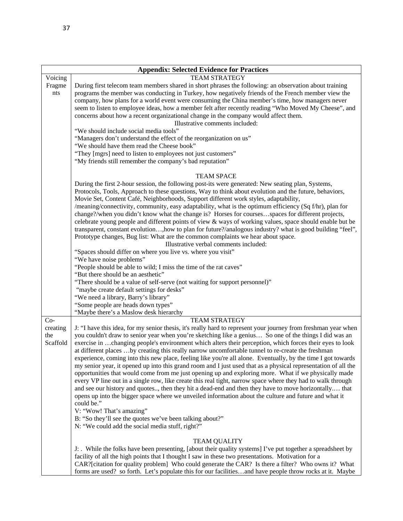| <b>Appendix: Selected Evidence for Practices</b> |                                                                                                                                                                                                                                                                                                                                                                                                                                                                                                                                                                                                                                                                                                                                                                                                                                                                                                                                                                                                                                                                                                                                                                                                                                                                                                                    |  |  |  |
|--------------------------------------------------|--------------------------------------------------------------------------------------------------------------------------------------------------------------------------------------------------------------------------------------------------------------------------------------------------------------------------------------------------------------------------------------------------------------------------------------------------------------------------------------------------------------------------------------------------------------------------------------------------------------------------------------------------------------------------------------------------------------------------------------------------------------------------------------------------------------------------------------------------------------------------------------------------------------------------------------------------------------------------------------------------------------------------------------------------------------------------------------------------------------------------------------------------------------------------------------------------------------------------------------------------------------------------------------------------------------------|--|--|--|
| Voicing                                          | <b>TEAM STRATEGY</b>                                                                                                                                                                                                                                                                                                                                                                                                                                                                                                                                                                                                                                                                                                                                                                                                                                                                                                                                                                                                                                                                                                                                                                                                                                                                                               |  |  |  |
| Fragme<br>nts                                    | During first telecom team members shared in short phrases the following: an observation about training<br>programs the member was conducting in Turkey, how negatively friends of the French member view the<br>company, how plans for a world event were consuming the China member's time, how managers never<br>seem to listen to employee ideas, how a member felt after recently reading "Who Moved My Cheese", and<br>concerns about how a recent organizational change in the company would affect them.<br>Illustrative comments included:                                                                                                                                                                                                                                                                                                                                                                                                                                                                                                                                                                                                                                                                                                                                                                 |  |  |  |
|                                                  | "We should include social media tools"<br>"Managers don't understand the effect of the reorganization on us"<br>"We should have them read the Cheese book"                                                                                                                                                                                                                                                                                                                                                                                                                                                                                                                                                                                                                                                                                                                                                                                                                                                                                                                                                                                                                                                                                                                                                         |  |  |  |
|                                                  | "They [mgrs] need to listen to employees not just customers"<br>"My friends still remember the company's bad reputation"                                                                                                                                                                                                                                                                                                                                                                                                                                                                                                                                                                                                                                                                                                                                                                                                                                                                                                                                                                                                                                                                                                                                                                                           |  |  |  |
|                                                  | <b>TEAM SPACE</b><br>During the first 2-hour session, the following post-its were generated: New seating plan, Systems,<br>Protocols, Tools, Approach to these questions, Way to think about evolution and the future, behaviors,<br>Movie Set, Content Café, Neighborhoods, Support different work styles, adaptability,<br>/meaning/connectivity, community, easy adaptability, what is the optimum efficiency (Sq f/hr), plan for<br>change?/when you didn't know what the change is? Horses for coursesspaces for different projects,<br>celebrate young people and different points of view & ways of working values, space should enable but be<br>transparent, constant evolution, how to plan for future?/analogous industry? what is good building "feel",<br>Prototype changes, Bug list: What are the common complaints we hear about space.<br>Illustrative verbal comments included:<br>"Spaces should differ on where you live vs. where you visit"<br>"We have noise problems"<br>"People should be able to wild; I miss the time of the rat caves"<br>"But there should be an aesthetic"<br>"There should be a value of self-serve (not waiting for support personnel)"<br>"maybe create default settings for desks"<br>"We need a library, Barry's library"<br>"Some people are heads down types" |  |  |  |
|                                                  | "Maybe there's a Maslow desk hierarchy                                                                                                                                                                                                                                                                                                                                                                                                                                                                                                                                                                                                                                                                                                                                                                                                                                                                                                                                                                                                                                                                                                                                                                                                                                                                             |  |  |  |
| $Co-$<br>creating<br>the<br>Scaffold             | <b>TEAM STRATEGY</b><br>J: "I have this idea, for my senior thesis, it's really hard to represent your journey from freshman year when<br>you couldn't draw to senior year when you're sketching like a genius So one of the things I did was an<br>exercise in changing people's environment which alters their perception, which forces their eyes to look<br>at different places by creating this really narrow uncomfortable tunnel to re-create the freshman<br>experience, coming into this new place, feeling like you're all alone. Eventually, by the time I got towards<br>my senior year, it opened up into this grand room and I just used that as a physical representation of all the<br>opportunities that would come from me just opening up and exploring more. What if we physically made<br>every VP line out in a single row, like create this real tight, narrow space where they had to walk through<br>and see our history and quotes, then they hit a dead-end and then they have to move horizontally that<br>opens up into the bigger space where we unveiled information about the culture and future and what it<br>could be."<br>V: "Wow! That's amazing"<br>B: "So they'll see the quotes we've been talking about?"<br>N: "We could add the social media stuff, right?"             |  |  |  |
|                                                  | <b>TEAM QUALITY</b><br>J: . While the folks have been presenting, [about their quality systems] I've put together a spreadsheet by<br>facility of all the high points that I thought I saw in these two presentations. Motivation for a<br>CAR? [citation for quality problem] Who could generate the CAR? Is there a filter? Who owns it? What<br>forms are used? so forth. Let's populate this for our facilitiesand have people throw rocks at it. Maybe                                                                                                                                                                                                                                                                                                                                                                                                                                                                                                                                                                                                                                                                                                                                                                                                                                                        |  |  |  |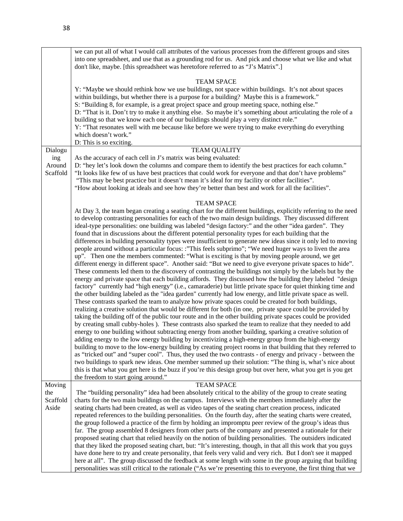|                           | we can put all of what I would call attributes of the various processes from the different groups and sites<br>into one spreadsheet, and use that as a grounding rod for us. And pick and choose what we like and what<br>don't like, maybe. [this spreadsheet was heretofore referred to as "J's Matrix".]                                                                                                                                           |  |  |  |
|---------------------------|-------------------------------------------------------------------------------------------------------------------------------------------------------------------------------------------------------------------------------------------------------------------------------------------------------------------------------------------------------------------------------------------------------------------------------------------------------|--|--|--|
|                           | <b>TEAM SPACE</b>                                                                                                                                                                                                                                                                                                                                                                                                                                     |  |  |  |
|                           | Y: "Maybe we should rethink how we use buildings, not space within buildings. It's not about spaces<br>within buildings, but whether there is a purpose for a building? Maybe this is a framework."<br>S: "Building 8, for example, is a great project space and group meeting space, nothing else."                                                                                                                                                  |  |  |  |
|                           | D: "That is it. Don't try to make it anything else. So maybe it's something about articulating the role of a<br>building so that we know each one of our buildings should play a very distinct role."<br>Y: "That resonates well with me because like before we were trying to make everything do everything                                                                                                                                          |  |  |  |
|                           | which doesn't work."                                                                                                                                                                                                                                                                                                                                                                                                                                  |  |  |  |
|                           | D: This is so exciting.                                                                                                                                                                                                                                                                                                                                                                                                                               |  |  |  |
| Dialogu                   | <b>TEAM QUALITY</b>                                                                                                                                                                                                                                                                                                                                                                                                                                   |  |  |  |
| ing<br>Around<br>Scaffold | As the accuracy of each cell in J's matrix was being evaluated:<br>D: "hey let's look down the columns and compare them to identify the best practices for each column."<br>"It looks like few of us have best practices that could work for everyone and that don't have problems"<br>"This may be best practice but it doesn't mean it's ideal for my facility or other facilities".                                                                |  |  |  |
|                           | "How about looking at ideals and see how they're better than best and work for all the facilities".                                                                                                                                                                                                                                                                                                                                                   |  |  |  |
|                           | <b>TEAM SPACE</b>                                                                                                                                                                                                                                                                                                                                                                                                                                     |  |  |  |
|                           | At Day 3, the team began creating a seating chart for the different buildings, explicitly referring to the need                                                                                                                                                                                                                                                                                                                                       |  |  |  |
|                           | to develop contrasting personalities for each of the two main design buildings. They discussed different                                                                                                                                                                                                                                                                                                                                              |  |  |  |
|                           | ideal-type personalities: one building was labeled "design factory:" and the other "idea garden". They                                                                                                                                                                                                                                                                                                                                                |  |  |  |
|                           | found that in discussions about the different potential personality types for each building that the                                                                                                                                                                                                                                                                                                                                                  |  |  |  |
|                           | differences in building personality types were insufficient to generate new ideas since it only led to moving                                                                                                                                                                                                                                                                                                                                         |  |  |  |
|                           | people around without a particular focus: :"This feels subprimo"; "We need huger ways to liven the area                                                                                                                                                                                                                                                                                                                                               |  |  |  |
|                           | up". Then one the members commented: "What is exciting is that by moving people around, we get                                                                                                                                                                                                                                                                                                                                                        |  |  |  |
|                           | different energy in different space". Another said: "But we need to give everyone private spaces to hide".<br>These comments led them to the discovery of contrasting the buildings not simply by the labels but by the<br>energy and private space that each building affords. They discussed how the building they labeled "design<br>factory" currently had "high energy" (i.e., camaraderie) but little private space for quiet thinking time and |  |  |  |
|                           | the other building labeled as the "idea garden" currently had low energy, and little private space as well.<br>These contrasts sparked the team to analyze how private spaces could be created for both buildings,                                                                                                                                                                                                                                    |  |  |  |
|                           | realizing a creative solution that would be different for both (in one, private space could be provided by<br>taking the building off of the public tour route and in the other building private spaces could be provided                                                                                                                                                                                                                             |  |  |  |
|                           | by creating small cubby-holes ). These contrasts also sparked the team to realize that they needed to add<br>energy to one building without subtracting energy from another building, sparking a creative solution of                                                                                                                                                                                                                                 |  |  |  |
|                           | adding energy to the low energy building by incentivizing a high-energy group from the high-energy                                                                                                                                                                                                                                                                                                                                                    |  |  |  |
|                           | building to move to the low-energy building by creating project rooms in that building that they referred to<br>as "tricked out" and "super cool". Thus, they used the two contrasts - of energy and privacy - between the                                                                                                                                                                                                                            |  |  |  |
|                           | two buildings to spark new ideas. One member summed up their solution: "The thing is, what's nice about                                                                                                                                                                                                                                                                                                                                               |  |  |  |
|                           | this is that what you get here is the buzz if you're this design group but over here, what you get is you get                                                                                                                                                                                                                                                                                                                                         |  |  |  |
|                           | the freedom to start going around."                                                                                                                                                                                                                                                                                                                                                                                                                   |  |  |  |
| Moving                    | <b>TEAM SPACE</b>                                                                                                                                                                                                                                                                                                                                                                                                                                     |  |  |  |
| the                       | The "building personality" idea had been absolutely critical to the ability of the group to create seating                                                                                                                                                                                                                                                                                                                                            |  |  |  |
| Scaffold                  | charts for the two main buildings on the campus. Interviews with the members immediately after the                                                                                                                                                                                                                                                                                                                                                    |  |  |  |
| Aside                     | seating charts had been created, as well as video tapes of the seating chart creation process, indicated                                                                                                                                                                                                                                                                                                                                              |  |  |  |
|                           | repeated references to the building personalities. On the fourth day, after the seating charts were created,                                                                                                                                                                                                                                                                                                                                          |  |  |  |
|                           | the group followed a practice of the firm by holding an impromptu peer review of the group's ideas thus<br>far. The group assembled 8 designers from other parts of the company and presented a rationale for their                                                                                                                                                                                                                                   |  |  |  |
|                           | proposed seating chart that relied heavily on the notion of building personalities. The outsiders indicated                                                                                                                                                                                                                                                                                                                                           |  |  |  |
|                           | that they liked the proposed seating chart, but: "It's interesting, though, in that all this work that you guys                                                                                                                                                                                                                                                                                                                                       |  |  |  |
|                           | have done here to try and create personality, that feels very valid and very rich. But I don't see it mapped                                                                                                                                                                                                                                                                                                                                          |  |  |  |
|                           | here at all". The group discussed the feedback at some length with some in the group arguing that building                                                                                                                                                                                                                                                                                                                                            |  |  |  |
|                           | personalities was still critical to the rationale ("As we're presenting this to everyone, the first thing that we                                                                                                                                                                                                                                                                                                                                     |  |  |  |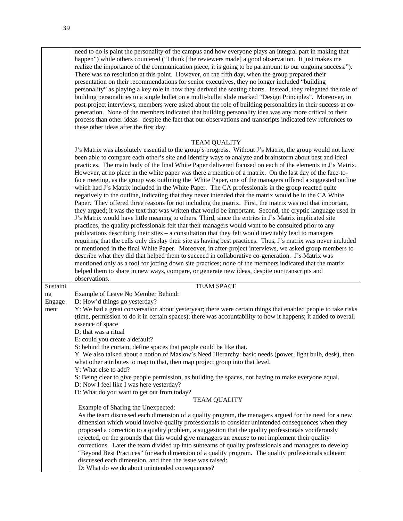need to do is paint the personality of the campus and how everyone plays an integral part in making that happen") while others countered ("I think [the reviewers made] a good observation. It just makes me realize the importance of the communication piece; it is going to be paramount to our ongoing success."). There was no resolution at this point. However, on the fifth day, when the group prepared their presentation on their recommendations for senior executives, they no longer included "building personality" as playing a key role in how they derived the seating charts. Instead, they relegated the role of building personalities to a single bullet on a multi-bullet slide marked "Design Principles". Moreover, in post-project interviews, members were asked about the role of building personalities in their success at cogeneration. None of the members indicated that building personality idea was any more critical to their process than other ideas– despite the fact that our observations and transcripts indicated few references to these other ideas after the first day.

#### TEAM QUALITY

J's Matrix was absolutely essential to the group's progress. Without J's Matrix, the group would not have been able to compare each other's site and identify ways to analyze and brainstorm about best and ideal practices. The main body of the final White Paper delivered focused on each of the elements in J's Matrix. However, at no place in the white paper was there a mention of a matrix. On the last day of the face-toface meeting, as the group was outlining the White Paper, one of the managers offered a suggested outline which had J's Matrix included in the White Paper. The CA professionals in the group reacted quite negatively to the outline, indicating that they never intended that the matrix would be in the CA White Paper. They offered three reasons for not including the matrix. First, the matrix was not that important, they argued; it was the text that was written that would be important. Second, the cryptic language used in J's Matrix would have little meaning to others. Third, since the entries in J's Matrix implicated site practices, the quality professionals felt that their managers would want to be consulted prior to any publications describing their sites – a consultation that they felt would inevitably lead to managers requiring that the cells only display their site as having best practices. Thus, J's matrix was never included or mentioned in the final White Paper. Moreover, in after-project interviews, we asked group members to describe what they did that helped them to succeed in collaborative co-generation. J's Matrix was mentioned only as a tool for jotting down site practices; none of the members indicated that the matrix helped them to share in new ways, compare, or generate new ideas, despite our transcripts and observations.

|          | ODSEI VALIONS.                                                                                                                                                                                            |  |  |  |
|----------|-----------------------------------------------------------------------------------------------------------------------------------------------------------------------------------------------------------|--|--|--|
| Sustaini | <b>TEAM SPACE</b>                                                                                                                                                                                         |  |  |  |
| ng       | Example of Leave No Member Behind:                                                                                                                                                                        |  |  |  |
| Engage   | D: How'd things go yesterday?                                                                                                                                                                             |  |  |  |
| ment     | Y: We had a great conversation about yesteryear; there were certain things that enabled people to take risks                                                                                              |  |  |  |
|          | (time, permission to do it in certain spaces); there was accountability to how it happens; it added to overall                                                                                            |  |  |  |
|          | essence of space                                                                                                                                                                                          |  |  |  |
|          | D; that was a ritual                                                                                                                                                                                      |  |  |  |
|          | E: could you create a default?                                                                                                                                                                            |  |  |  |
|          | S: behind the curtain, define spaces that people could be like that.                                                                                                                                      |  |  |  |
|          | Y. We also talked about a notion of Maslow's Need Hierarchy: basic needs (power, light bulb, desk), then                                                                                                  |  |  |  |
|          | what other attributes to map to that, then map project group into that level.                                                                                                                             |  |  |  |
|          | Y: What else to add?                                                                                                                                                                                      |  |  |  |
|          | S: Being clear to give people permission, as building the spaces, not having to make everyone equal.                                                                                                      |  |  |  |
|          | D: Now I feel like I was here yesterday?                                                                                                                                                                  |  |  |  |
|          | D: What do you want to get out from today?                                                                                                                                                                |  |  |  |
|          | <b>TEAM QUALITY</b>                                                                                                                                                                                       |  |  |  |
|          | Example of Sharing the Unexpected:                                                                                                                                                                        |  |  |  |
|          | As the team discussed each dimension of a quality program, the managers argued for the need for a new                                                                                                     |  |  |  |
|          | dimension which would involve quality professionals to consider unintended consequences when they<br>proposed a correction to a quality problem, a suggestion that the quality professionals vociferously |  |  |  |
|          | rejected, on the grounds that this would give managers an excuse to not implement their quality                                                                                                           |  |  |  |
|          | corrections. Later the team divided up into subteams of quality professionals and managers to develop                                                                                                     |  |  |  |
|          | "Beyond Best Practices" for each dimension of a quality program. The quality professionals subteam                                                                                                        |  |  |  |
|          | discussed each dimension, and then the issue was raised:                                                                                                                                                  |  |  |  |
|          | D: What do we do about unintended consequences?                                                                                                                                                           |  |  |  |